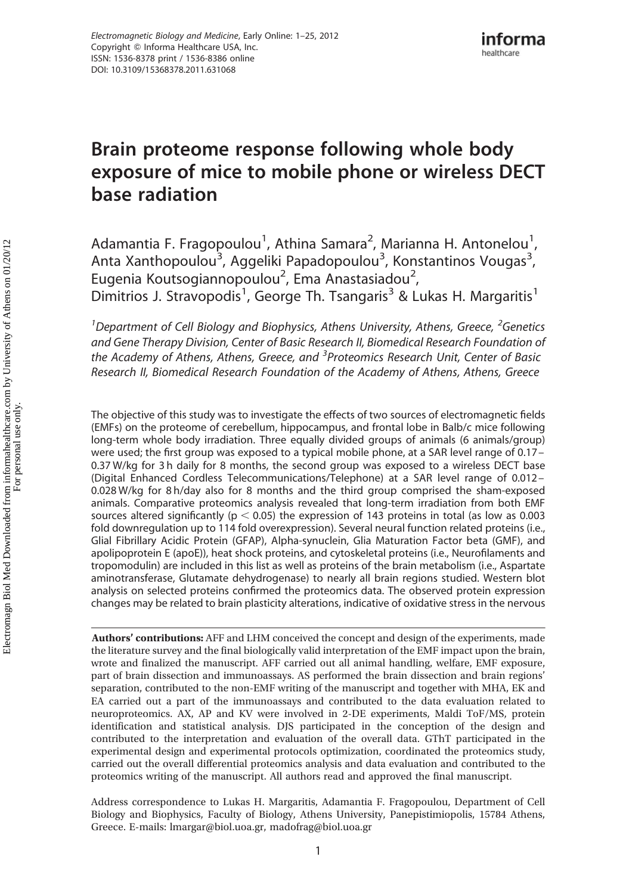# Brain proteome response following whole body exposure of mice to mobile phone or wireless DECT base radiation

Adamantia F. Fragopoulou<sup>1</sup>, Athina Samara<sup>2</sup>, Marianna H. Antonelou<sup>1</sup>, Anta Xanthopoulou<sup>3</sup>, Aggeliki Papadopoulou<sup>3</sup>, Konstantinos Vougas<sup>3</sup>, Eugenia Koutsogiannopoulou<sup>2</sup>, Ema Anastasiadou<sup>2</sup>, Dimitrios J. Stravopodis<sup>1</sup>, George Th. Tsangaris<sup>3</sup> & Lukas H. Margaritis<sup>1</sup>

<sup>1</sup>Department of Cell Biology and Biophysics, Athens University, Athens, Greece, <sup>2</sup>Genetics and Gene Therapy Division, Center of Basic Research II, Biomedical Research Foundation of the Academy of Athens, Athens, Greece, and <sup>3</sup> Proteomics Research Unit, Center of Basic Research II, Biomedical Research Foundation of the Academy of Athens, Athens, Greece

The objective of this study was to investigate the effects of two sources of electromagnetic fields (EMFs) on the proteome of cerebellum, hippocampus, and frontal lobe in Balb/c mice following long-term whole body irradiation. Three equally divided groups of animals (6 animals/group) were used; the first group was exposed to a typical mobile phone, at a SAR level range of 0.17 – 0.37 W/kg for 3 h daily for 8 months, the second group was exposed to a wireless DECT base (Digital Enhanced Cordless Telecommunications/Telephone) at a SAR level range of 0.012 – 0.028 W/kg for 8 h/day also for 8 months and the third group comprised the sham-exposed animals. Comparative proteomics analysis revealed that long-term irradiation from both EMF sources altered significantly ( $p < 0.05$ ) the expression of 143 proteins in total (as low as 0.003 fold downregulation up to 114 fold overexpression). Several neural function related proteins (i.e., Glial Fibrillary Acidic Protein (GFAP), Alpha-synuclein, Glia Maturation Factor beta (GMF), and apolipoprotein E (apoE)), heat shock proteins, and cytoskeletal proteins (i.e., Neurofilaments and tropomodulin) are included in this list as well as proteins of the brain metabolism (i.e., Aspartate aminotransferase, Glutamate dehydrogenase) to nearly all brain regions studied. Western blot analysis on selected proteins confirmed the proteomics data. The observed protein expression changes may be related to brain plasticity alterations, indicative of oxidative stress in the nervous

Authors' contributions: AFF and LHM conceived the concept and design of the experiments, made the literature survey and the final biologically valid interpretation of the EMF impact upon the brain, wrote and finalized the manuscript. AFF carried out all animal handling, welfare, EMF exposure, part of brain dissection and immunoassays. AS performed the brain dissection and brain regions' separation, contributed to the non-EMF writing of the manuscript and together with MHA, EK and EA carried out a part of the immunoassays and contributed to the data evaluation related to neuroproteomics. AX, AP and KV were involved in 2-DE experiments, Maldi ToF/MS, protein identification and statistical analysis. DJS participated in the conception of the design and contributed to the interpretation and evaluation of the overall data. GThT participated in the experimental design and experimental protocols optimization, coordinated the proteomics study, carried out the overall differential proteomics analysis and data evaluation and contributed to the proteomics writing of the manuscript. All authors read and approved the final manuscript.

Address correspondence to Lukas H. Margaritis, Adamantia F. Fragopoulou, Department of Cell Biology and Biophysics, Faculty of Biology, Athens University, Panepistimiopolis, 15784 Athens, Greece. E-mails: lmargar@biol.uoa.gr, madofrag@biol.uoa.gr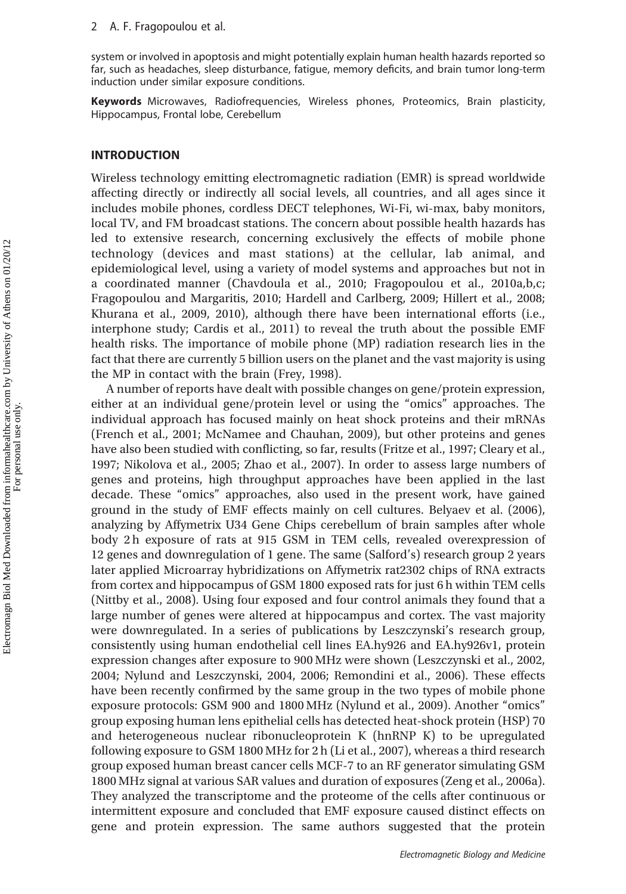system or involved in apoptosis and might potentially explain human health hazards reported so far, such as headaches, sleep disturbance, fatigue, memory deficits, and brain tumor long-term induction under similar exposure conditions.

Keywords Microwaves, Radiofrequencies, Wireless phones, Proteomics, Brain plasticity, Hippocampus, Frontal lobe, Cerebellum

#### INTRODUCTION

Wireless technology emitting electromagnetic radiation (EMR) is spread worldwide affecting directly or indirectly all social levels, all countries, and all ages since it includes mobile phones, cordless DECT telephones, Wi-Fi, wi-max, baby monitors, local TV, and FM broadcast stations. The concern about possible health hazards has led to extensive research, concerning exclusively the effects of mobile phone technology (devices and mast stations) at the cellular, lab animal, and epidemiological level, using a variety of model systems and approaches but not in a coordinated manner (Chavdoula et al., 2010; Fragopoulou et al., 2010a,b,c; Fragopoulou and Margaritis, 2010; Hardell and Carlberg, 2009; Hillert et al., 2008; Khurana et al., 2009, 2010), although there have been international efforts (i.e., interphone study; Cardis et al., 2011) to reveal the truth about the possible EMF health risks. The importance of mobile phone (MP) radiation research lies in the fact that there are currently 5 billion users on the planet and the vast majority is using the MP in contact with the brain (Frey, 1998).

A number of reports have dealt with possible changes on gene/protein expression, either at an individual gene/protein level or using the "omics" approaches. The individual approach has focused mainly on heat shock proteins and their mRNAs (French et al., 2001; McNamee and Chauhan, 2009), but other proteins and genes have also been studied with conflicting, so far, results (Fritze et al., 1997; Cleary et al., 1997; Nikolova et al., 2005; Zhao et al., 2007). In order to assess large numbers of genes and proteins, high throughput approaches have been applied in the last decade. These "omics" approaches, also used in the present work, have gained ground in the study of EMF effects mainly on cell cultures. Belyaev et al. (2006), analyzing by Affymetrix U34 Gene Chips cerebellum of brain samples after whole body 2 h exposure of rats at 915 GSM in TEM cells, revealed overexpression of 12 genes and downregulation of 1 gene. The same (Salford's) research group 2 years later applied Microarray hybridizations on Affymetrix rat2302 chips of RNA extracts from cortex and hippocampus of GSM 1800 exposed rats for just 6 h within TEM cells (Nittby et al., 2008). Using four exposed and four control animals they found that a large number of genes were altered at hippocampus and cortex. The vast majority were downregulated. In a series of publications by Leszczynski's research group, consistently using human endothelial cell lines EA.hy926 and EA.hy926v1, protein expression changes after exposure to 900 MHz were shown (Leszczynski et al., 2002, 2004; Nylund and Leszczynski, 2004, 2006; Remondini et al., 2006). These effects have been recently confirmed by the same group in the two types of mobile phone exposure protocols: GSM 900 and 1800 MHz (Nylund et al., 2009). Another "omics" group exposing human lens epithelial cells has detected heat-shock protein (HSP) 70 and heterogeneous nuclear ribonucleoprotein K (hnRNP K) to be upregulated following exposure to GSM 1800 MHz for 2 h (Li et al., 2007), whereas a third research group exposed human breast cancer cells MCF-7 to an RF generator simulating GSM 1800 MHz signal at various SAR values and duration of exposures (Zeng et al., 2006a). They analyzed the transcriptome and the proteome of the cells after continuous or intermittent exposure and concluded that EMF exposure caused distinct effects on gene and protein expression. The same authors suggested that the protein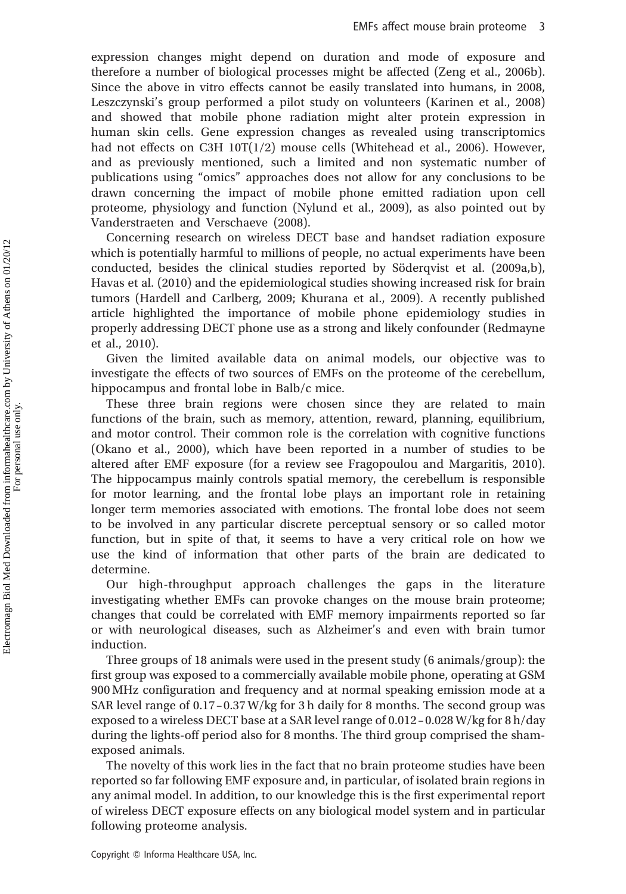expression changes might depend on duration and mode of exposure and therefore a number of biological processes might be affected (Zeng et al., 2006b). Since the above in vitro effects cannot be easily translated into humans, in 2008, Leszczynski's group performed a pilot study on volunteers (Karinen et al., 2008) and showed that mobile phone radiation might alter protein expression in human skin cells. Gene expression changes as revealed using transcriptomics had not effects on C3H  $10T(1/2)$  mouse cells (Whitehead et al., 2006). However, and as previously mentioned, such a limited and non systematic number of publications using "omics" approaches does not allow for any conclusions to be drawn concerning the impact of mobile phone emitted radiation upon cell proteome, physiology and function (Nylund et al., 2009), as also pointed out by Vanderstraeten and Verschaeve (2008).

Concerning research on wireless DECT base and handset radiation exposure which is potentially harmful to millions of people, no actual experiments have been conducted, besides the clinical studies reported by Söderqvist et al. (2009a,b), Havas et al. (2010) and the epidemiological studies showing increased risk for brain tumors (Hardell and Carlberg, 2009; Khurana et al., 2009). A recently published article highlighted the importance of mobile phone epidemiology studies in properly addressing DECT phone use as a strong and likely confounder (Redmayne et al., 2010).

Given the limited available data on animal models, our objective was to investigate the effects of two sources of EMFs on the proteome of the cerebellum, hippocampus and frontal lobe in Balb/c mice.

These three brain regions were chosen since they are related to main functions of the brain, such as memory, attention, reward, planning, equilibrium, and motor control. Their common role is the correlation with cognitive functions (Okano et al., 2000), which have been reported in a number of studies to be altered after EMF exposure (for a review see Fragopoulou and Margaritis, 2010). The hippocampus mainly controls spatial memory, the cerebellum is responsible for motor learning, and the frontal lobe plays an important role in retaining longer term memories associated with emotions. The frontal lobe does not seem to be involved in any particular discrete perceptual sensory or so called motor function, but in spite of that, it seems to have a very critical role on how we use the kind of information that other parts of the brain are dedicated to determine.

Our high-throughput approach challenges the gaps in the literature investigating whether EMFs can provoke changes on the mouse brain proteome; changes that could be correlated with EMF memory impairments reported so far or with neurological diseases, such as Alzheimer's and even with brain tumor induction.

Three groups of 18 animals were used in the present study (6 animals/group): the first group was exposed to a commercially available mobile phone, operating at GSM 900 MHz configuration and frequency and at normal speaking emission mode at a SAR level range of 0.17 – 0.37 W/kg for 3 h daily for 8 months. The second group was exposed to a wireless DECT base at a SAR level range of 0.012 –0.028 W/kg for 8 h/day during the lights-off period also for 8 months. The third group comprised the shamexposed animals.

The novelty of this work lies in the fact that no brain proteome studies have been reported so far following EMF exposure and, in particular, of isolated brain regions in any animal model. In addition, to our knowledge this is the first experimental report of wireless DECT exposure effects on any biological model system and in particular following proteome analysis.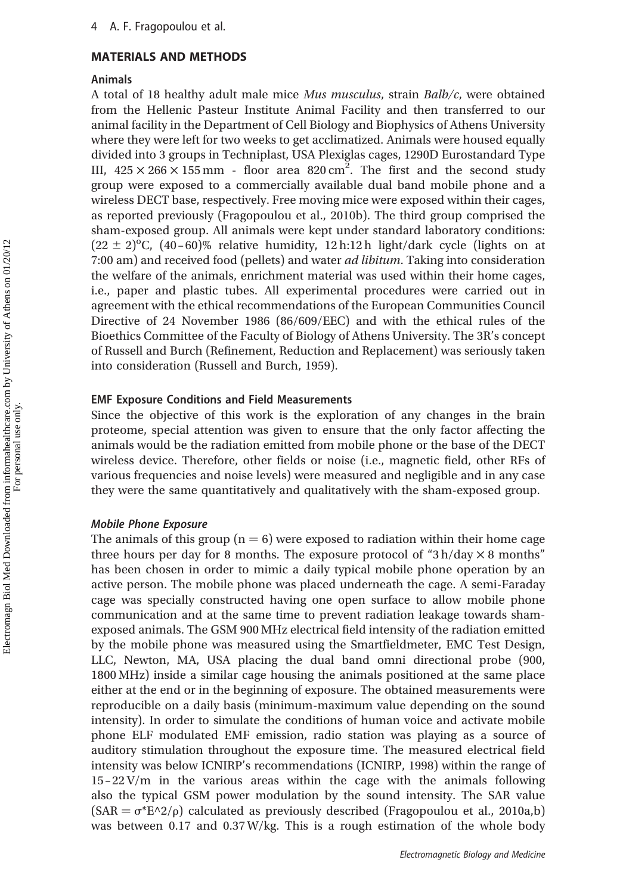# MATERIALS AND METHODS

### Animals

A total of 18 healthy adult male mice Mus musculus, strain Balb/c, were obtained from the Hellenic Pasteur Institute Animal Facility and then transferred to our animal facility in the Department of Cell Biology and Biophysics of Athens University where they were left for two weeks to get acclimatized. Animals were housed equally divided into 3 groups in Techniplast, USA Plexiglas cages, 1290D Eurostandard Type III,  $425 \times 266 \times 155$  mm - floor area 820 cm<sup>2</sup>. The first and the second study group were exposed to a commercially available dual band mobile phone and a wireless DECT base, respectively. Free moving mice were exposed within their cages, as reported previously (Fragopoulou et al., 2010b). The third group comprised the sham-exposed group. All animals were kept under standard laboratory conditions:  $(22 \pm 2)^{o}$ C,  $(40-60)$ % relative humidity, 12 h:12 h light/dark cycle (lights on at 7:00 am) and received food (pellets) and water ad libitum. Taking into consideration the welfare of the animals, enrichment material was used within their home cages, i.e., paper and plastic tubes. All experimental procedures were carried out in agreement with the ethical recommendations of the European Communities Council Directive of 24 November 1986 (86/609/EEC) and with the ethical rules of the Bioethics Committee of the Faculty of Biology of Athens University. The 3R's concept of Russell and Burch (Refinement, Reduction and Replacement) was seriously taken into consideration (Russell and Burch, 1959).

# EMF Exposure Conditions and Field Measurements

Since the objective of this work is the exploration of any changes in the brain proteome, special attention was given to ensure that the only factor affecting the animals would be the radiation emitted from mobile phone or the base of the DECT wireless device. Therefore, other fields or noise (i.e., magnetic field, other RFs of various frequencies and noise levels) were measured and negligible and in any case they were the same quantitatively and qualitatively with the sham-exposed group.

# Mobile Phone Exposure

The animals of this group ( $n = 6$ ) were exposed to radiation within their home cage three hours per day for 8 months. The exposure protocol of "3 h/day  $\times$  8 months" has been chosen in order to mimic a daily typical mobile phone operation by an active person. The mobile phone was placed underneath the cage. A semi-Faraday cage was specially constructed having one open surface to allow mobile phone communication and at the same time to prevent radiation leakage towards shamexposed animals. The GSM 900 MHz electrical field intensity of the radiation emitted by the mobile phone was measured using the Smartfieldmeter, EMC Test Design, LLC, Newton, MA, USA placing the dual band omni directional probe (900, 1800 MHz) inside a similar cage housing the animals positioned at the same place either at the end or in the beginning of exposure. The obtained measurements were reproducible on a daily basis (minimum-maximum value depending on the sound intensity). In order to simulate the conditions of human voice and activate mobile phone ELF modulated EMF emission, radio station was playing as a source of auditory stimulation throughout the exposure time. The measured electrical field intensity was below ICNIRP's recommendations (ICNIRP, 1998) within the range of  $15 - 22$  V/m in the various areas within the cage with the animals following also the typical GSM power modulation by the sound intensity. The SAR value  $(SAR = \sigma^*E^2/\rho)$  calculated as previously described (Fragopoulou et al., 2010a,b) was between 0.17 and 0.37 W/kg. This is a rough estimation of the whole body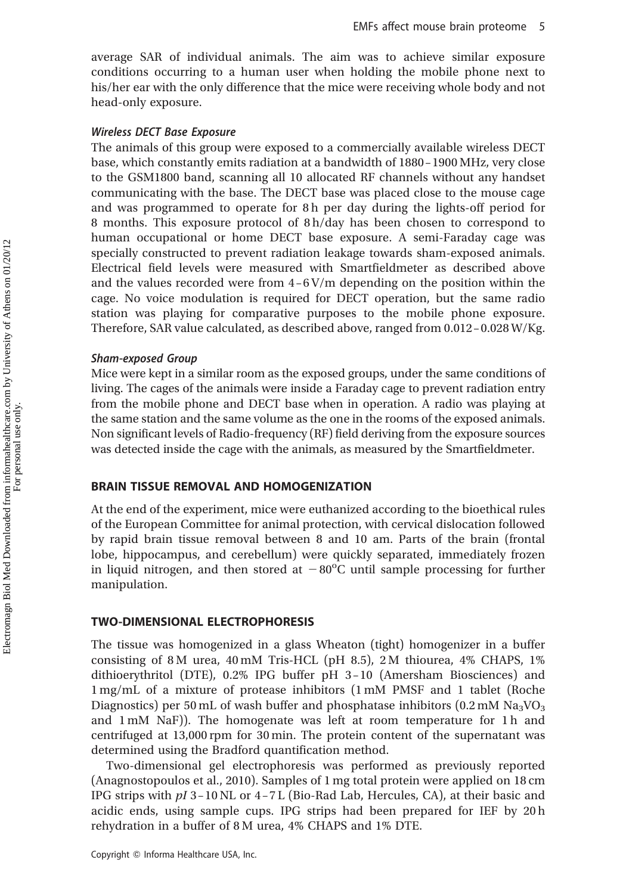average SAR of individual animals. The aim was to achieve similar exposure conditions occurring to a human user when holding the mobile phone next to his/her ear with the only difference that the mice were receiving whole body and not head-only exposure.

# Wireless DECT Base Exposure

The animals of this group were exposed to a commercially available wireless DECT base, which constantly emits radiation at a bandwidth of 1880–1900 MHz, very close to the GSM1800 band, scanning all 10 allocated RF channels without any handset communicating with the base. The DECT base was placed close to the mouse cage and was programmed to operate for 8 h per day during the lights-off period for 8 months. This exposure protocol of 8 h/day has been chosen to correspond to human occupational or home DECT base exposure. A semi-Faraday cage was specially constructed to prevent radiation leakage towards sham-exposed animals. Electrical field levels were measured with Smartfieldmeter as described above and the values recorded were from  $4-6$  V/m depending on the position within the cage. No voice modulation is required for DECT operation, but the same radio station was playing for comparative purposes to the mobile phone exposure. Therefore, SAR value calculated, as described above, ranged from 0.012– 0.028 W/Kg.

# Sham-exposed Group

Mice were kept in a similar room as the exposed groups, under the same conditions of living. The cages of the animals were inside a Faraday cage to prevent radiation entry from the mobile phone and DECT base when in operation. A radio was playing at the same station and the same volume as the one in the rooms of the exposed animals. Non significant levels of Radio-frequency (RF) field deriving from the exposure sources was detected inside the cage with the animals, as measured by the Smartfieldmeter.

# BRAIN TISSUE REMOVAL AND HOMOGENIZATION

At the end of the experiment, mice were euthanized according to the bioethical rules of the European Committee for animal protection, with cervical dislocation followed by rapid brain tissue removal between 8 and 10 am. Parts of the brain (frontal lobe, hippocampus, and cerebellum) were quickly separated, immediately frozen in liquid nitrogen, and then stored at  $-80^{\circ}$ C until sample processing for further manipulation.

# TWO-DIMENSIONAL ELECTROPHORESIS

The tissue was homogenized in a glass Wheaton (tight) homogenizer in a buffer consisting of 8 M urea,  $40 \text{ mM}$  Tris-HCL (pH 8.5), 2 M thiourea,  $4\%$  CHAPS,  $1\%$ dithioerythritol (DTE), 0.2% IPG buffer pH 3– 10 (Amersham Biosciences) and 1 mg/mL of a mixture of protease inhibitors (1 mM PMSF and 1 tablet (Roche Diagnostics) per 50 mL of wash buffer and phosphatase inhibitors  $(0.2 \text{ mM } Na<sub>3</sub>VO<sub>3</sub>)$ and 1 mM NaF)). The homogenate was left at room temperature for 1 h and centrifuged at 13,000 rpm for 30 min. The protein content of the supernatant was determined using the Bradford quantification method.

Two-dimensional gel electrophoresis was performed as previously reported (Anagnostopoulos et al., 2010). Samples of 1 mg total protein were applied on 18 cm IPG strips with  $pI$  3–10 NL or 4–7 L (Bio-Rad Lab, Hercules, CA), at their basic and acidic ends, using sample cups. IPG strips had been prepared for IEF by 20 h rehydration in a buffer of 8 M urea, 4% CHAPS and 1% DTE.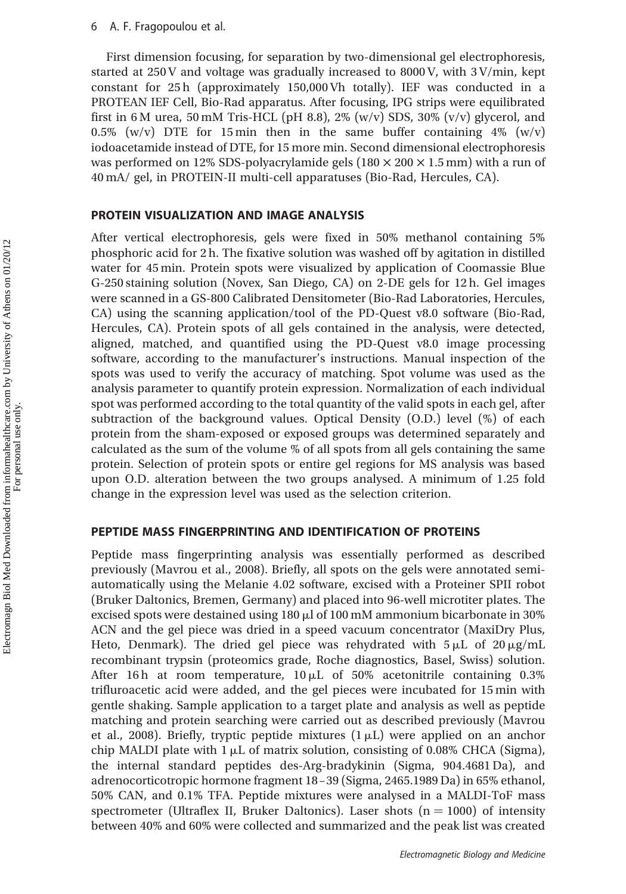First dimension focusing, for separation by two-dimensional gel electrophoresis, started at 250 V and voltage was gradually increased to 8000 V, with 3 V/min, kept constant for 25 h (approximately 150,000 Vh totally). IEF was conducted in a PROTEAN IEF Cell, Bio-Rad apparatus. After focusing, IPG strips were equilibrated first in 6 M urea, 50 mM Tris-HCL (pH 8.8), 2% (w/v) SDS, 30% (v/v) glycerol, and 0.5% (w/v) DTE for 15 min then in the same buffer containing  $4\%$  (w/v) iodoacetamide instead of DTE, for 15 more min. Second dimensional electrophoresis was performed on 12% SDS-polyacrylamide gels ( $180 \times 200 \times 1.5$  mm) with a run of 40 mA/ gel, in PROTEIN-II multi-cell apparatuses (Bio-Rad, Hercules, CA).

## PROTEIN VISUALIZATION AND IMAGE ANALYSIS

After vertical electrophoresis, gels were fixed in 50% methanol containing 5% phosphoric acid for 2 h. The fixative solution was washed off by agitation in distilled water for 45 min. Protein spots were visualized by application of Coomassie Blue G-250 staining solution (Novex, San Diego, CA) on 2-DE gels for 12 h. Gel images were scanned in a GS-800 Calibrated Densitometer (Bio-Rad Laboratories, Hercules, CA) using the scanning application/tool of the PD-Quest v8.0 software (Bio-Rad, Hercules, CA). Protein spots of all gels contained in the analysis, were detected, aligned, matched, and quantified using the PD-Quest v8.0 image processing software, according to the manufacturer's instructions. Manual inspection of the spots was used to verify the accuracy of matching. Spot volume was used as the analysis parameter to quantify protein expression. Normalization of each individual spot was performed according to the total quantity of the valid spots in each gel, after subtraction of the background values. Optical Density (O.D.) level (%) of each protein from the sham-exposed or exposed groups was determined separately and calculated as the sum of the volume % of all spots from all gels containing the same protein. Selection of protein spots or entire gel regions for MS analysis was based upon O.D. alteration between the two groups analysed. A minimum of 1.25 fold change in the expression level was used as the selection criterion.

## PEPTIDE MASS FINGERPRINTING AND IDENTIFICATION OF PROTEINS

Peptide mass fingerprinting analysis was essentially performed as described previously (Mavrou et al., 2008). Briefly, all spots on the gels were annotated semiautomatically using the Melanie 4.02 software, excised with a Proteiner SPII robot (Bruker Daltonics, Bremen, Germany) and placed into 96-well microtiter plates. The excised spots were destained using  $180 \mu$  of  $100 \text{ mM}$  ammonium bicarbonate in 30% ACN and the gel piece was dried in a speed vacuum concentrator (MaxiDry Plus, Heto, Denmark). The dried gel piece was rehydrated with  $5 \mu L$  of  $20 \mu g/mL$ recombinant trypsin (proteomics grade, Roche diagnostics, Basel, Swiss) solution. After 16 h at room temperature,  $10 \mu L$  of 50% acetonitrile containing 0.3% trifluroacetic acid were added, and the gel pieces were incubated for 15 min with gentle shaking. Sample application to a target plate and analysis as well as peptide matching and protein searching were carried out as described previously (Mavrou et al., 2008). Briefly, tryptic peptide mixtures  $(1 \mu L)$  were applied on an anchor chip MALDI plate with  $1 \mu$ L of matrix solution, consisting of 0.08% CHCA (Sigma), the internal standard peptides des-Arg-bradykinin (Sigma, 904.4681 Da), and adrenocorticotropic hormone fragment 18–39 (Sigma, 2465.1989 Da) in 65% ethanol, 50% CAN, and 0.1% TFA. Peptide mixtures were analysed in a MALDI-ToF mass spectrometer (Ultraflex II, Bruker Daltonics). Laser shots  $(n = 1000)$  of intensity between 40% and 60% were collected and summarized and the peak list was created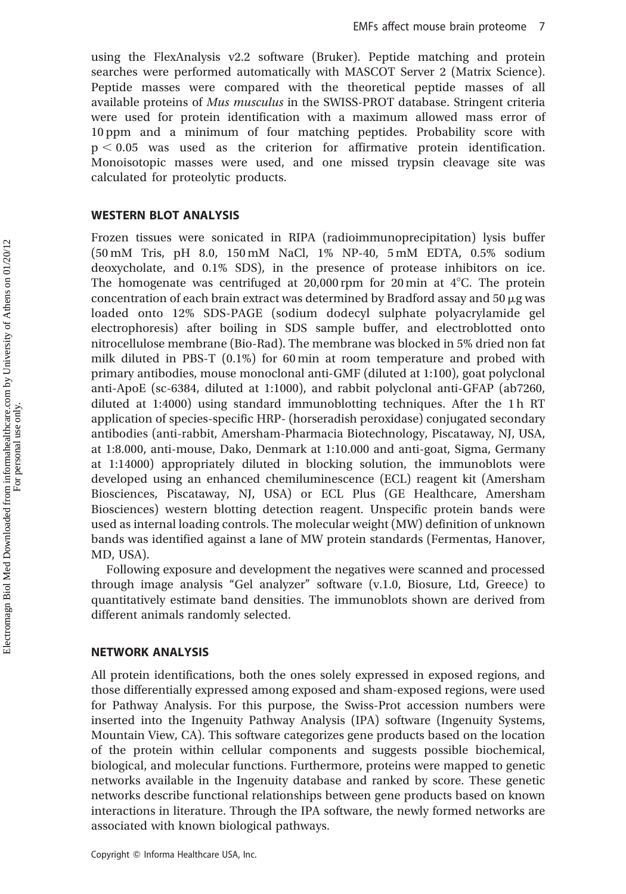using the FlexAnalysis v2.2 software (Bruker). Peptide matching and protein searches were performed automatically with MASCOT Server 2 (Matrix Science). Peptide masses were compared with the theoretical peptide masses of all available proteins of Mus musculus in the SWISS-PROT database. Stringent criteria were used for protein identification with a maximum allowed mass error of 10 ppm and a minimum of four matching peptides. Probability score with  $p < 0.05$  was used as the criterion for affirmative protein identification. Monoisotopic masses were used, and one missed trypsin cleavage site was calculated for proteolytic products.

#### WESTERN BLOT ANALYSIS

Frozen tissues were sonicated in RIPA (radioimmunoprecipitation) lysis buffer (50 mM Tris, pH 8.0, 150 mM NaCl, 1% NP-40, 5 mM EDTA, 0.5% sodium deoxycholate, and 0.1% SDS), in the presence of protease inhibitors on ice. The homogenate was centrifuged at 20,000 rpm for 20 min at  $4^{\circ}$ C. The protein concentration of each brain extract was determined by Bradford assay and  $50 \mu g$  was loaded onto 12% SDS-PAGE (sodium dodecyl sulphate polyacrylamide gel electrophoresis) after boiling in SDS sample buffer, and electroblotted onto nitrocellulose membrane (Bio-Rad). The membrane was blocked in 5% dried non fat milk diluted in PBS-T (0.1%) for 60 min at room temperature and probed with primary antibodies, mouse monoclonal anti-GMF (diluted at 1:100), goat polyclonal anti-ApoE (sc-6384, diluted at 1:1000), and rabbit polyclonal anti-GFAP (ab7260, diluted at 1:4000) using standard immunoblotting techniques. After the 1 h RT application of species-specific HRP- (horseradish peroxidase) conjugated secondary antibodies (anti-rabbit, Amersham-Pharmacia Biotechnology, Piscataway, NJ, USA, at 1:8.000, anti-mouse, Dako, Denmark at 1:10.000 and anti-goat, Sigma, Germany at 1:14000) appropriately diluted in blocking solution, the immunoblots were developed using an enhanced chemiluminescence (ECL) reagent kit (Amersham Biosciences, Piscataway, NJ, USA) or ECL Plus (GE Healthcare, Amersham Biosciences) western blotting detection reagent. Unspecific protein bands were used as internal loading controls. The molecular weight (MW) definition of unknown bands was identified against a lane of MW protein standards (Fermentas, Hanover, MD, USA).

Following exposure and development the negatives were scanned and processed through image analysis "Gel analyzer" software (v.1.0, Biosure, Ltd, Greece) to quantitatively estimate band densities. The immunoblots shown are derived from different animals randomly selected.

### NETWORK ANALYSIS

All protein identifications, both the ones solely expressed in exposed regions, and those differentially expressed among exposed and sham-exposed regions, were used for Pathway Analysis. For this purpose, the Swiss-Prot accession numbers were inserted into the Ingenuity Pathway Analysis (IPA) software (Ingenuity Systems, Mountain View, CA). This software categorizes gene products based on the location of the protein within cellular components and suggests possible biochemical, biological, and molecular functions. Furthermore, proteins were mapped to genetic networks available in the Ingenuity database and ranked by score. These genetic networks describe functional relationships between gene products based on known interactions in literature. Through the IPA software, the newly formed networks are associated with known biological pathways.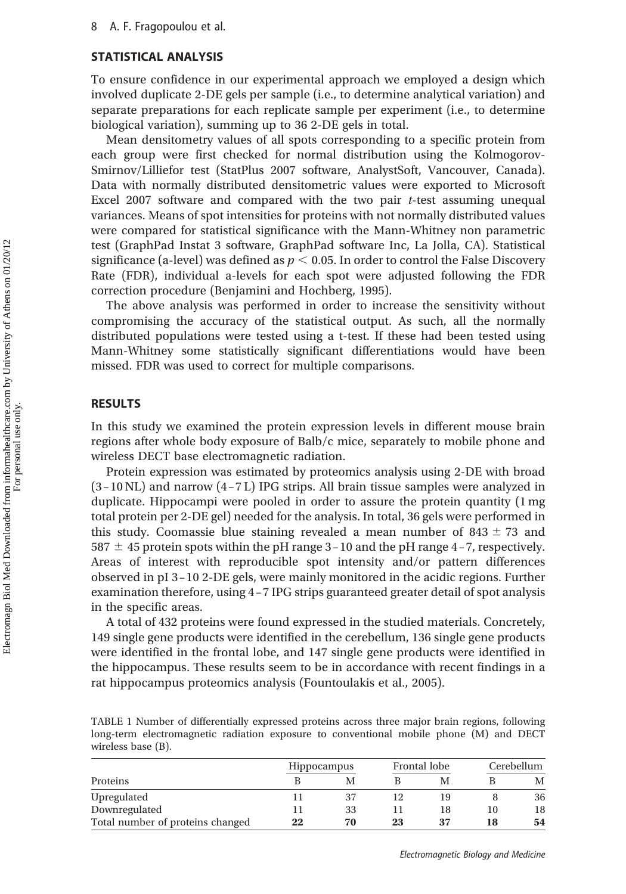# STATISTICAL ANALYSIS

To ensure confidence in our experimental approach we employed a design which involved duplicate 2-DE gels per sample (i.e., to determine analytical variation) and separate preparations for each replicate sample per experiment (i.e., to determine biological variation), summing up to 36 2-DE gels in total.

Mean densitometry values of all spots corresponding to a specific protein from each group were first checked for normal distribution using the Kolmogorov-Smirnov/Lilliefor test (StatPlus 2007 software, AnalystSoft, Vancouver, Canada). Data with normally distributed densitometric values were exported to Microsoft Excel 2007 software and compared with the two pair  $t$ -test assuming unequal variances. Means of spot intensities for proteins with not normally distributed values were compared for statistical significance with the Mann-Whitney non parametric test (GraphPad Instat 3 software, GraphPad software Inc, La Jolla, CA). Statistical significance (a-level) was defined as  $p < 0.05$ . In order to control the False Discovery Rate (FDR), individual a-levels for each spot were adjusted following the FDR correction procedure (Benjamini and Hochberg, 1995).

The above analysis was performed in order to increase the sensitivity without compromising the accuracy of the statistical output. As such, all the normally distributed populations were tested using a t-test. If these had been tested using Mann-Whitney some statistically significant differentiations would have been missed. FDR was used to correct for multiple comparisons.

# RESULTS

In this study we examined the protein expression levels in different mouse brain regions after whole body exposure of Balb/c mice, separately to mobile phone and wireless DECT base electromagnetic radiation.

Protein expression was estimated by proteomics analysis using 2-DE with broad (3–10 NL) and narrow (4–7 L) IPG strips. All brain tissue samples were analyzed in duplicate. Hippocampi were pooled in order to assure the protein quantity (1 mg total protein per 2-DE gel) needed for the analysis. In total, 36 gels were performed in this study. Coomassie blue staining revealed a mean number of  $843 \pm 73$  and  $587 \pm 45$  protein spots within the pH range 3–10 and the pH range 4–7, respectively. Areas of interest with reproducible spot intensity and/or pattern differences observed in pI 3–10 2-DE gels, were mainly monitored in the acidic regions. Further examination therefore, using 4–7 IPG strips guaranteed greater detail of spot analysis in the specific areas.

A total of 432 proteins were found expressed in the studied materials. Concretely, 149 single gene products were identified in the cerebellum, 136 single gene products were identified in the frontal lobe, and 147 single gene products were identified in the hippocampus. These results seem to be in accordance with recent findings in a rat hippocampus proteomics analysis (Fountoulakis et al., 2005).

TABLE 1 Number of differentially expressed proteins across three major brain regions, following long-term electromagnetic radiation exposure to conventional mobile phone (M) and DECT wireless base (B).

|                                  | <b>Hippocampus</b> |    |    | Frontal lobe |    | Cerebellum |
|----------------------------------|--------------------|----|----|--------------|----|------------|
| Proteins                         |                    | M  |    | M            |    | М          |
| Upregulated                      |                    | 37 |    | 19           |    | 36         |
| Downregulated                    |                    | 33 |    | 18           | 10 | 18         |
| Total number of proteins changed | 22                 | 70 | 23 | 37           | 18 | 54         |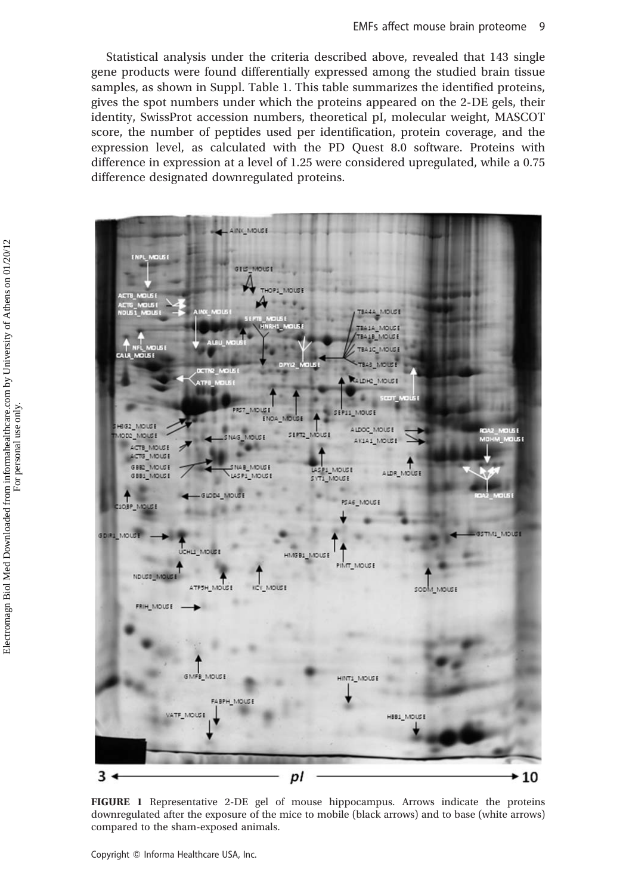Statistical analysis under the criteria described above, revealed that 143 single gene products were found differentially expressed among the studied brain tissue samples, as shown in Suppl. Table 1. This table summarizes the identified proteins, gives the spot numbers under which the proteins appeared on the 2-DE gels, their identity, SwissProt accession numbers, theoretical pI, molecular weight, MASCOT score, the number of peptides used per identification, protein coverage, and the expression level, as calculated with the PD Quest 8.0 software. Proteins with difference in expression at a level of 1.25 were considered upregulated, while a 0.75 difference designated downregulated proteins.

AINC\_MOUSE **KOL5 GEIS NATURE** THOP! MOUSE TBAAA MOUSE TBA1A MOUSE BA18\_MOUS TBAIC MOUSE MOUSE **RALDHO\_MOUSE** scor i PRST\_MOUSE SEP11 MOUSE ENOA MOUSE **HBG2\_MOUSE** ALDOC MOUSE NAS\_MOUSE 13UCM\_00CM SEPT2\_MOUSE AK1A1\_MOUSE ACTB\_MOUSE ACTG\_MOUSE LASPA\_MOUSE GBEC\_MOUSE SNAB\_MOUSE ALDR\_MOUSE GBB1\_MOUSE LASPI\_MOUSE SYT1\_MOUSE GLOD4\_MOUSE PSA6\_MOUSE IOBP\_MOUSE M1 MOUSE **SDIRL MOUS** UCHLI MOUSE HIVEBT IVOIRE PINT\_MOUSE NDUSS ANDUSE KCY\_MOUSE ATPSH\_MOUSE SODM\_MOUSE FRIH MOUSE GIMFB\_MOUSE HINT1 MOUSE FABPH\_MOUSE VATE\_MOUSE HBB1\_MOUSE  $3 +$ pl ► 10

FIGURE 1 Representative 2-DE gel of mouse hippocampus. Arrows indicate the proteins downregulated after the exposure of the mice to mobile (black arrows) and to base (white arrows) compared to the sham-exposed animals.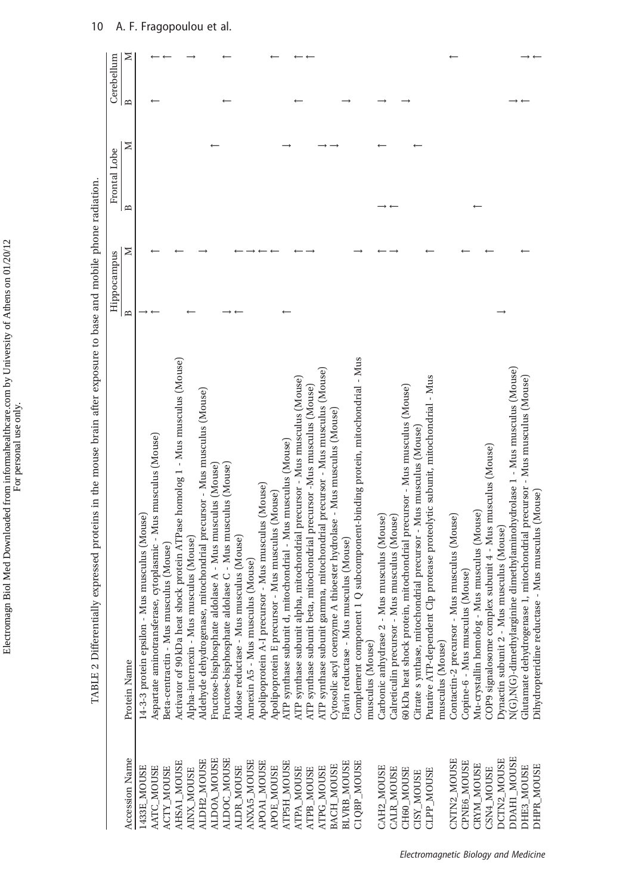|                    |                                                                                   | Hippocampus  |   | Frontal Lobe |   | Cerebellum   |   |
|--------------------|-----------------------------------------------------------------------------------|--------------|---|--------------|---|--------------|---|
| Accession Name     | Protein Name                                                                      | $\mathbf{r}$ | ≍ | B            | ⊠ | $\mathbf{B}$ | ⊠ |
| 1433E_MOUSE        | Mus musculus (Mouse)<br>14-3-3 protein epsilon -                                  |              |   |              |   |              |   |
| AATC_MOUSE         | Aspartate aminotransferase, cytoplasmic - Mus musculus (Mouse)                    |              |   |              |   |              |   |
| <b>ACTY_MOUSE</b>  | 3eta-centractin - Mus musculus (Mouse)                                            |              |   |              |   |              |   |
| AHSA1_MOUSE        | shock protein ATPase homolog 1 - Mus musculus (Mouse)<br>Activator of 90 kDa heat |              |   |              |   |              |   |
| <b>AINX MOUSE</b>  | musculus (Mouse)<br>Alpha-internexin - Mus                                        |              |   |              |   |              |   |
| ALDH2_MOUSE        | Aldehyde dehydrogenase, mitochondrial precursor - Mus musculus (Mouse)            |              |   |              |   |              |   |
| ALDOA_MOUSE        | Fructose-bisphosphate aldolase A - Mus musculus (Mouse)                           |              |   |              |   |              |   |
| ALDOC_MOUSE        | Fructose-bisphosphate aldolase C - Mus musculus (Mouse)                           |              |   |              |   |              |   |
| ALDR_MOUSE         | Aldose reductase - Mus musculus (Mouse)                                           |              |   |              |   |              |   |
| ANXA5_MOUSE        | Annexin A5 - Mus musculus (Mouse)                                                 |              |   |              |   |              |   |
| APOA1_MOUSE        | Apolipoprotein A-I precursor - Mus musculus (Mouse)                               |              |   |              |   |              |   |
| APOE_MOUSE         | Apolipoprotein E precursor - Mus musculus (Mouse)                                 |              |   |              |   |              |   |
| ATP5H MOUSE        | ATP synthase subunit d, mitochondrial - Mus musculus (Mouse)                      |              |   |              |   |              |   |
| ATPA_MOUSE         | ATP synthase subunit alpha, mitochondrial precursor - Mus musculus (Mouse)        |              |   |              |   |              |   |
| ATPB_MOUSE         | ATP synthase subunit beta, mitochondrial precursor -Mus musculus (Mouse)          |              |   |              |   |              |   |
| ATPG_MOUSE         | ATP synthase subunit gamma, mitochondrial precursor - Mus musculus (Mouse)        |              |   |              |   |              |   |
| BACH MOUSE         | A thioester hydrolase - Mus musculus (Mouse)<br>Cytosolic acyl coenzyme           |              |   |              |   |              |   |
| <b>BLVRB MOUSE</b> | musculus (Mouse)<br>Flavin reductase - Mus                                        |              |   |              |   |              |   |
| C1QBP_MOUSE        | Complement component 1 Q subcomponent-binding protein, mitochondrial - Mus        |              |   |              |   |              |   |
|                    | musculus (Mouse)                                                                  |              |   |              |   |              |   |
| CAH2_MOUSE         | Mus musculus (Mouse)<br>Carbonic anhydrase 2 -                                    |              |   |              |   |              |   |
| CALR_MOUSE         | Mus musculus (Mouse)<br>Calreticulin precursor -                                  |              |   |              |   |              |   |
| CH60_MOUSE         | 50 kDa heat shock protein, mitochondrial precursor - Mus musculus (Mouse)         |              |   |              |   |              |   |
| <b>CISY_MOUSE</b>  | Citrate s ynthase, mitochondrial precursor - Mus musculus (Mouse)                 |              |   |              |   |              |   |
| <b>CLPP_MOUSE</b>  | Clp protease proteolytic subunit, mitochondrial - Mus<br>Putative ATP-dependent   |              |   |              |   |              |   |
|                    | musculus (Mouse)                                                                  |              |   |              |   |              |   |
| CNTN2 MOUSE        | Mus musculus (Mouse)<br>Contactin-2 precursor -                                   |              |   |              |   |              |   |
| CPNE6_MOUSE        | Copine-6 - Mus musculus (Mouse)                                                   |              |   |              |   |              |   |
| CRYM_MOUSE         | Mu-crystallin homolog - Mus musculus (Mouse)                                      |              |   |              |   |              |   |
| CSN4_MOUSE         | COP9 signalosome complex subunit 4 - Mus musculus (Mouse)                         |              |   |              |   |              |   |
| DCTN2_MOUSE        | Ovnactin subunit 2 - Mus musculus (Mouse)                                         |              |   |              |   |              |   |
| DDAH1 MOUSE        | N(G)-dimethylarginine dimethylaminohydrolase 1 - Mus musculus (Mouse)             |              |   |              |   |              |   |
| DHE3_MOUSE         | Glutamate dehydrogenase 1, mitochondrial precursor - Mus musculus (Mouse)         |              |   |              |   |              |   |
| DHPR_MOUSE         | Dihydropteridine reductase - Mus musculus (Mouse)                                 |              |   |              |   |              |   |

TABLE 2 Differentially expressed proteins in the mouse brain after exposure to base and mobile phone radiation. TABLE 2 Differentially expressed proteins in the mouse brain after exposure to base and mobile phone radiation.

Electromagn Biol Med Downloaded from informahealthcare.com by University of Athens on 01/20/12 For personal use only.

Electromagn Biol Med Downloaded from informahealthcare.com by University of Athens on 01/20/12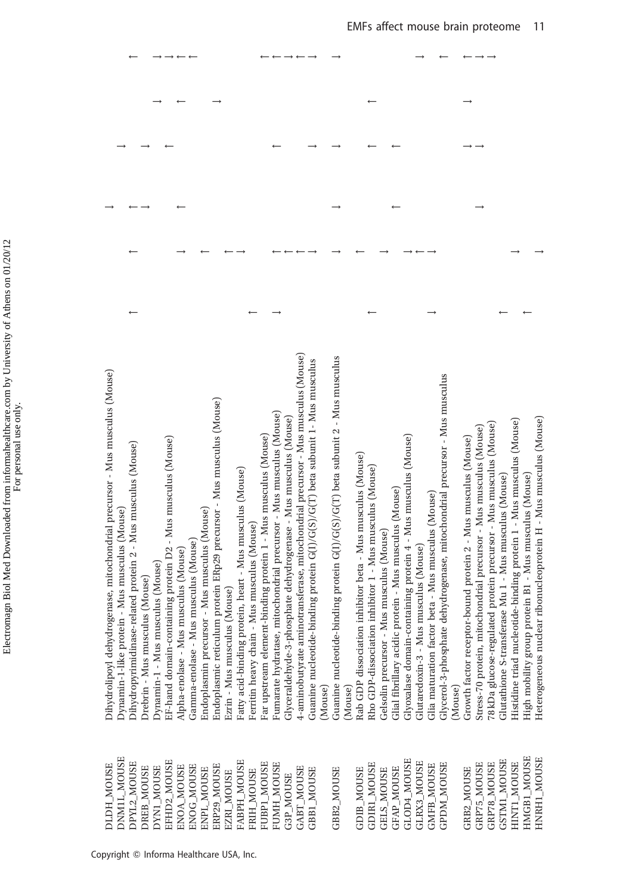| Dihydrolipoyl dehydrogenase, mitochondrial precursor - Mus musculus (Mouse)<br>Endoplasmic reticulum protein ERp29 precursor - Mus musculus (Mouse)<br>EF-hand domain-containing protein D2 - Mus musculus (Mouse)<br>Dihydropyrimidinase-related protein 2 - Mus musculus (Mouse)<br>Fatty acid-binding protein, heart - Mus musculus (Mouse)<br>Dynamin-1-like protein - Mus musculus (Mouse)<br>Endoplasmin precursor - Mus musculus (Mouse)<br>Gamma-enolase - Mus musculus (Mouse)<br>Alpha-enolase - Mus musculus (Mouse)<br>Drebrin - Mus musculus (Mouse)<br>Dynamin-1 - Mus musculus (Mouse)<br>Ezrin - Mus musculus (Mouse) | 4-aminobutyrate aminotransferase, mitochondrial precursor - Mus musculus (Mouse)<br>Guanine nucleotide-binding protein G(I)/G(S)/G(T) beta subunit 1- Mus musculus<br>Fumarate hydratase, mitochondrial precursor - Mus musculus (Mouse)<br>Glyceraldehyde-3-phosphate dehydrogenase - Mus musculus (Mouse)<br>Far upstream element-binding protein 1 - Mus musculus (Mouse)<br>Ferritin heavy chain - Mus musculus (Mouse) | Guanine nucleotide-binding protein G(I)/G(S)/G(T) beta subunit 2 - Mus musculus<br>Glyoxalase domain-containing protein 4 - Mus musculus (Mouse)<br>Rab GDP dissociation inhibitor beta - Mus musculus (Mouse)<br>Rho GDP-dissociation inhibitor 1 - Mus musculus (Mouse)<br>Gelsolin precursor - Mus musculus (Mouse)<br>Gital fibrillary acidic protein - Mus musculus (Mouse)<br>(Mouse)<br>(Mouse) | Glycerol-3-phosphate dehydrogenase, mitochondrial precursor - Mus musculus<br>Heterogeneous nuclear ribonucleoprotein H - Mus musculus (Mouse)<br>Histidine triad nucleotide-binding protein 1 - Mus musculus (Mouse)<br>78 kDa glucose-regulated protein precursor - Mus musculus (Mouse)<br>Stress-70 protein, mitochondrial precursor - Mus musculus (Mouse)<br>Growth factor receptor-bound protein 2 - Mus musculus (Mouse)<br>High mobility group protein B1 - Mus musculus (Mouse)<br>Glutathione S-transferase Mu 1 - Mus musculus (Mouse)<br>beta - Mus musculus (Mouse)<br>Glutaredoxin-3 - Mus musculus (Mouse)<br>Glia maturation factor<br>(Mouse) |
|---------------------------------------------------------------------------------------------------------------------------------------------------------------------------------------------------------------------------------------------------------------------------------------------------------------------------------------------------------------------------------------------------------------------------------------------------------------------------------------------------------------------------------------------------------------------------------------------------------------------------------------|-----------------------------------------------------------------------------------------------------------------------------------------------------------------------------------------------------------------------------------------------------------------------------------------------------------------------------------------------------------------------------------------------------------------------------|--------------------------------------------------------------------------------------------------------------------------------------------------------------------------------------------------------------------------------------------------------------------------------------------------------------------------------------------------------------------------------------------------------|-----------------------------------------------------------------------------------------------------------------------------------------------------------------------------------------------------------------------------------------------------------------------------------------------------------------------------------------------------------------------------------------------------------------------------------------------------------------------------------------------------------------------------------------------------------------------------------------------------------------------------------------------------------------|
| DNM1L_MOUSE<br>EFHD2_MOUSE<br>FABPH_MOUSE<br>DPYL2_MOUSE<br>DLDH MOUSE<br>ERP29_MOUSE<br>ENOA_MOUSE<br>ENOG_MOUSE<br>DYN1_MOUSE<br>DREB_MOUSE<br>ENPL_MOUSE<br>EZRI_MOUSE                                                                                                                                                                                                                                                                                                                                                                                                                                                             | FUBP1_MOUSE<br>FUMH_MOUSE<br>GABT_MOUSE<br>GBB1_MOUSE<br>FRIH_MOUSE<br>G3P_MOUSE                                                                                                                                                                                                                                                                                                                                            | GLOD4_MOUSE<br><b>GLRX3_MOUSE</b><br><b>GDIRL_MOUSE</b><br><b>GFAP_MOUSE</b><br>GBB2_MOUSE<br><b>GDIB_MOUSE</b><br><b>GELS_MOUSE</b>                                                                                                                                                                                                                                                                   | HMGB1 MOUSE<br><b>GSTM1_MOUSE</b><br>HNRH1_MOUSE<br><b>GPDM MOUSE</b><br>GRP75_MOUSE<br>GRP78_MOUSE<br><b>HINTI_MOUSE</b><br><b>GMFB MOUSE</b><br>GRB2_MOUSE                                                                                                                                                                                                                                                                                                                                                                                                                                                                                                    |

 $\leftarrow \leftarrow \rightarrow \leftarrow \rightarrow$ 

 $\longrightarrow$ 

 $\longleftrightarrow$   $\rightarrow$ 

 $\rightarrow$ 

 $\leftarrow$ 

 $\longrightarrow \longrightarrow \longleftarrow \longleftarrow$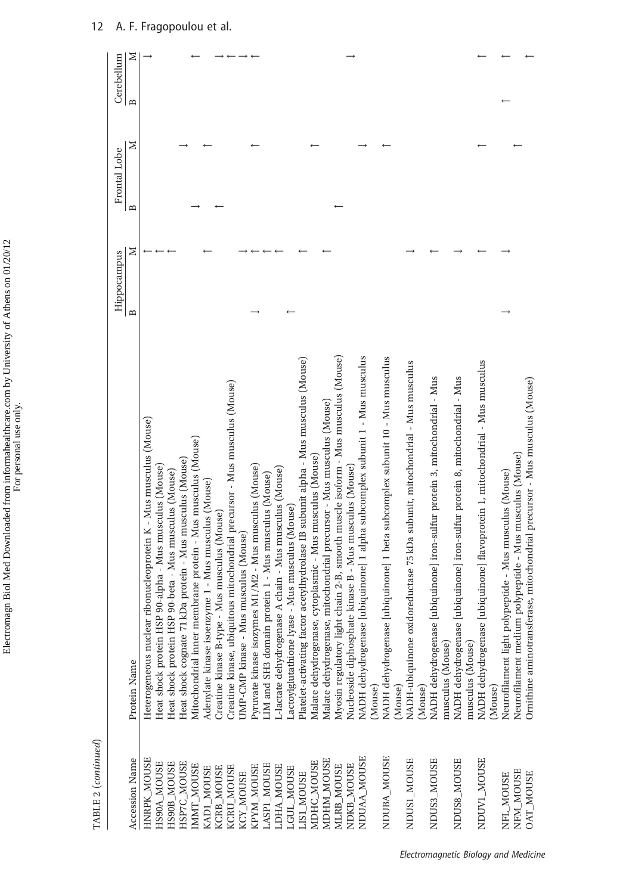|                       |                                                                                                                                                                                                         | Hippocampus |   | Frontal Lobe |   | Cerebellum |   |
|-----------------------|---------------------------------------------------------------------------------------------------------------------------------------------------------------------------------------------------------|-------------|---|--------------|---|------------|---|
| <b>Accession Name</b> | Protein Name                                                                                                                                                                                            | ≏           | ≍ | m            | ⊠ | B          | Z |
| HNRPK MOUSE           | ribonucleoprotein K - Mus musculus (Mouse)<br>Heterogeneous nuclear                                                                                                                                     |             |   |              |   |            |   |
| HS90A_MOUSE           | 90-alpha - Mus musculus (Mouse)<br>Heat shock protein HSP                                                                                                                                               |             |   |              |   |            |   |
| HS90B_MOUSE           | 90-beta - Mus musculus (Mouse)<br>Heat shock protein HSP                                                                                                                                                |             |   |              |   |            |   |
| HSP7C_MOUSE           | Heat shock cognate 71 kDa protein - Mus musculus (Mouse)                                                                                                                                                |             |   |              |   |            |   |
| IMMT_MOUSE            | Mitochondrial inner membrane protein - Mus musculus (Mouse)                                                                                                                                             |             |   |              |   |            |   |
| KAD1_MOUSE            | Adenylate kinase isoenzyme 1 - Mus musculus (Mouse)                                                                                                                                                     |             |   |              |   |            |   |
| KCRB_MOUSE            | Mus musculus (Mouse)<br>Creatine kinase B-type -                                                                                                                                                        |             |   |              |   |            |   |
| KCRU MOUSE            | Greatine kinase, ubiquitous mitochondrial precursor - Mus musculus (Mouse)                                                                                                                              |             |   |              |   |            |   |
| KCY_MOUSE             | JMP-CMP kinase - Mus musculus (Mouse)                                                                                                                                                                   |             |   |              |   |            |   |
| KPYM_MOUSE            | Pyruvate kinase isozymes M1/M2 - Mus musculus (Mouse)                                                                                                                                                   |             |   |              |   |            |   |
| LASP1_MOUSE           | LIM and SH3 domain protein 1 - Mus musculus (Mouse)                                                                                                                                                     |             |   |              |   |            |   |
| <b>JDHA_MOUSE</b>     | A chain - Mus musculus (Mouse)<br>L-lactate dehydrogenase                                                                                                                                               |             |   |              |   |            |   |
| LGUL_MOUSE            | - Mus musculus (Mouse)<br>actoylglutathione lyase                                                                                                                                                       |             |   |              |   |            |   |
| <b>LIS1_MOUSE</b>     | acetylhydrolase IB subunit alpha - Mus musculus (Mouse)<br>Platelet-activating factor                                                                                                                   |             |   |              |   |            |   |
| MDHC_MOUSE            | cytoplasmic - Mus musculus (Mouse)<br>Malate dehydrogenase,                                                                                                                                             |             |   |              |   |            |   |
| MDHM_MOUSE            | mitochondrial precursor - Mus musculus (Mouse)<br>Malate dehydrogenase,                                                                                                                                 |             |   |              |   |            |   |
| MLRB_MOUSE            | Myosin regulatory light chain 2-B, smooth muscle isoform - Mus musculus (Mouse)                                                                                                                         |             |   |              |   |            |   |
| NDKB MOUSE            |                                                                                                                                                                                                         |             |   |              |   |            |   |
| NDUAA_MOUSE           | Nucleoside diphosphate kinase B - Mus muscuus vwwwe-<br>, $\label{eq:submin} \begin{array}{l} \text{NuDH dehydrogenase (ubiquinone)} 1 \text{ alpha subcomplex subunit 1 - Mus musculus}\\ \end{array}$ |             |   |              |   |            |   |
|                       |                                                                                                                                                                                                         |             |   |              |   |            |   |
| NDUBA_MOUSE           | NADH dehydrogenase [ubiquinone] 1 beta subcomplex subunit 10 - Mus musculus (Mouse)                                                                                                                     |             |   |              |   |            |   |
| NDUS1_MOUSE           | NADH-ubiquinone oxidoreductase 75 kDa subunit, mitochondrial - Mus musculus<br>(Mouse)                                                                                                                  |             |   |              |   |            |   |
| NDUS3_MOUSE           | NADH dehydrogenase [ubiquinone] iron-sulfur protein 3, mitochondrial - Mus                                                                                                                              |             |   |              |   |            |   |
|                       | musculus (Mouse)                                                                                                                                                                                        |             |   |              |   |            |   |
| NDUS8_MOUSE           | NADH dehydrogenase [ubiquinone] iron-sulfur protein 8, mitochondrial - Mus                                                                                                                              |             |   |              |   |            |   |
|                       | musculus (Mouse)                                                                                                                                                                                        |             |   |              |   |            |   |
| NDUV1_MOUSE           | NADH dehydrogenase [ubiquinone] flavoprotein 1, mitochondrial - Mus musculus                                                                                                                            |             |   |              |   |            |   |
|                       | (Mouse)                                                                                                                                                                                                 |             |   |              |   |            |   |
| NFL_MOUSE             | Neurofilament light polypeptide - Mus musculus (Mouse)                                                                                                                                                  |             |   |              |   |            |   |
| NFM_MOUSE             | polypeptide - Mus musculus (Mouse)<br>Neurofilament medium                                                                                                                                              |             |   |              |   |            |   |
| <b>OAT_MOUSE</b>      | Ornithine aminotransferase, mitochondrial precursor - Mus musculus (Mouse)                                                                                                                              |             |   |              |   |            |   |

TABLE 2 (continued)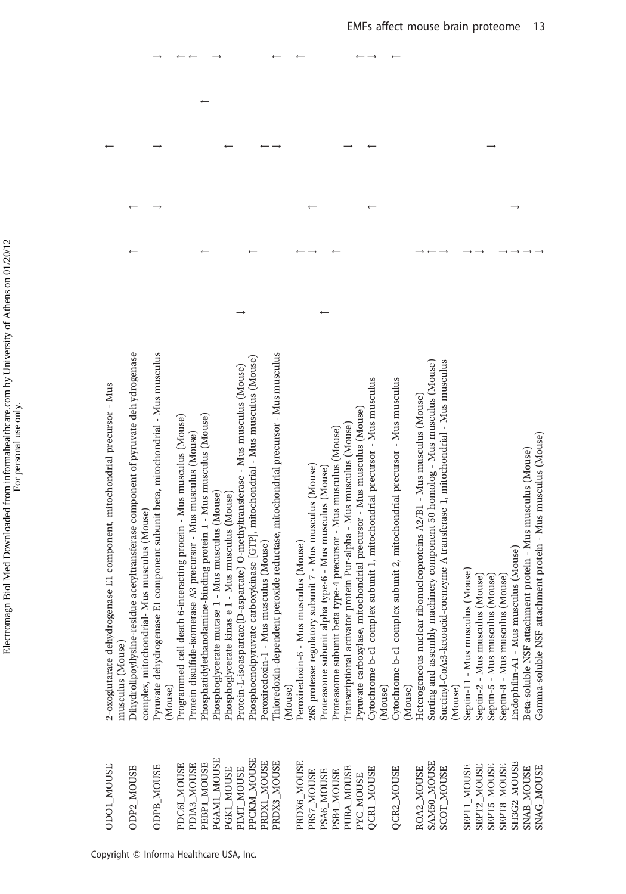| <b>CDOL_MOUSE</b>           | genase El component, mitochondrial precursor - Mus<br>2-oxoglutarate dehydro<br>musculus (Mouse)                                     |  |  |  |
|-----------------------------|--------------------------------------------------------------------------------------------------------------------------------------|--|--|--|
| ODP2_MOUSE                  | Dihydrolipoyllysine-residue acetyltransferase component of pyruvate deh ydrogenase<br>complex, mitochondrial- Mus musculus (Mouse)   |  |  |  |
| <b>ODPB_MOUSE</b>           | Pyruvate dehydrogenase E1 component subunit beta, mitochondrial - Mus musculus<br>(Mouse)                                            |  |  |  |
| PDC6I_MOUSE                 | Programmed cell death 6-interacting protein - Mus musculus (Mouse)                                                                   |  |  |  |
| PEBP1 MOUSE<br>PDIA3_MOUSE  | Phosphatidylethanolamine-binding protein 1 - Mus musculus (Mouse)<br>Protein disulfide-isomerase A3 precursor - Mus musculus (Mouse) |  |  |  |
| PGAMI_MOUSE                 | Phosphoglycerate mutase 1 - Mus musculus (Mouse)                                                                                     |  |  |  |
| PGK1 MOUSE                  | Phosphoglycerate kinas e 1 - Mus musculus (Mouse)                                                                                    |  |  |  |
| PIMT_MOUSE                  | Protein-L-isoaspartate(D-aspartate) O-methyltransferase - Mus musculus (Mouse)                                                       |  |  |  |
| PPCKM_MOUSE                 | Phosphoenolpyruvate carboxykinase [GTP], mitochondrial - Mus musculus (Mouse)                                                        |  |  |  |
| PRDX1 MOUSE                 | musculus (Mouse)<br>Peroxiredoxin-1 - Mus                                                                                            |  |  |  |
| <b>HSON<sup>T</sup>EXCR</b> | Thioredoxin-dependent peroxide reductase, mitochondrial precursor - Mus musculus                                                     |  |  |  |
|                             | (Mouse)                                                                                                                              |  |  |  |
| PRDX6 MOUSE                 | musculus (Mouse)<br>Peroxiredoxin-6 - Mus                                                                                            |  |  |  |
| PRS7_MOUSE                  | 26S protease regulatory subunit 7 - Mus musculus (Mouse)                                                                             |  |  |  |
| PSA6_MOUSE                  | Proteasome subunit alpha type-6 - Mus musculus (Mouse)                                                                               |  |  |  |
| PSB4_MOUSE                  | Proteasome subunit beta type-4 precursor - Mus musculus (Mouse)                                                                      |  |  |  |
| PURA_MOUSE                  | Transcriptional activator protein Pur-alpha - Mus musculus (Mouse)                                                                   |  |  |  |
| PYC_MOUSE                   | Pyruvate carboxylase, mitochondrial precursor - Mus musculus (Mouse)                                                                 |  |  |  |
| QCR1_MOUSE                  | Cytochrome b-c1 complex subunit 1, mitochondrial precursor - Mus musculus                                                            |  |  |  |
|                             | (Mouse)                                                                                                                              |  |  |  |
| QCR2_MOUSE                  | Cytochrome b-c1 complex subunit 2, mitochondrial precursor - Mus musculus<br>(Mouse)                                                 |  |  |  |
| ROA2_MOUSE                  | Heterogeneous nuclear ribonucleoproteins A2/B1 - Mus musculus (Mouse)                                                                |  |  |  |
| SAM50_MOUSE                 | Sorting and assembly machinery component 50 homolog - Mus musculus (Mouse)                                                           |  |  |  |
| <b>SCOT_MOUSE</b>           | Succinyl-CoA:3-ketoacid-coenzyme A transferase 1, mitochondrial - Mus musculus                                                       |  |  |  |
|                             | (Mouse)                                                                                                                              |  |  |  |
| SEP11_MOUSE                 | Septin-11 - Mus musculus (Mouse)                                                                                                     |  |  |  |
| SEPT2_MOUSE                 | Septin-2 - Mus musculus (Mouse)                                                                                                      |  |  |  |
| <b>SEPT5_MOUSE</b>          | Septin-5 - Mus musculus (Mouse)                                                                                                      |  |  |  |
| <b>SEPT8_MOUSE</b>          | Septin-8 - Mus musculus (Mouse)                                                                                                      |  |  |  |
| SH3G2_MOUSE                 | Endophilin-A1 - Mus musculus (Mouse)                                                                                                 |  |  |  |
| <b>SNAB_MOUSE</b>           | Beta-soluble NSF attachment protein - Mus musculus (Mouse)                                                                           |  |  |  |
| <b>SNAG_MOUSE</b>           | Gamma-soluble NSF attachment protein - Mus musculus (Mouse)                                                                          |  |  |  |

 $\rightarrow \quad \leftarrow \leftarrow \quad \rightarrow$ 

 $\leftarrow$   $\leftarrow$ 

 $\leftarrow$   $\rightarrow$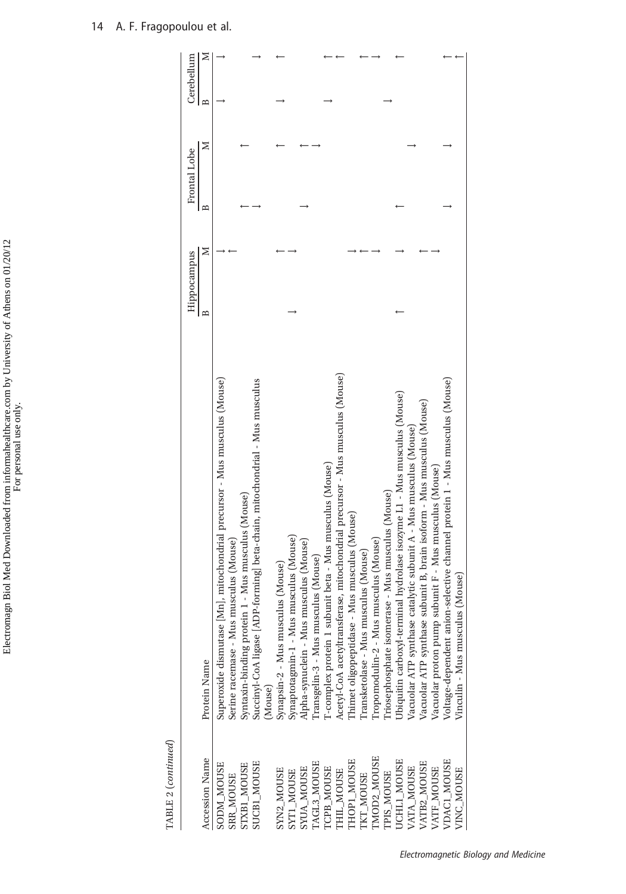| TABLE 2 (continued) |                                                                              |             |   |              |   |                   |
|---------------------|------------------------------------------------------------------------------|-------------|---|--------------|---|-------------------|
|                     |                                                                              | Hippocampus |   | Frontal Lobe |   | Cerebellum        |
| Accession Name      | Protein Name                                                                 | $\approx$   | ⊠ | $\mathbf{r}$ | Σ | Σ<br>$\mathbf{a}$ |
| <b>SODM_MOUSE</b>   | Superoxide dismutase [Mn], mitochondrial precursor - Mus musculus (Mouse)    |             |   |              |   |                   |
| <b>SRR_MOUSE</b>    | Serine racemase - Mus musculus (Mouse)                                       |             |   |              |   |                   |
| STXB1 MOUSE         | Syntaxin-binding protein 1 - Mus musculus (Mouse)                            |             |   |              |   |                   |
| SUCB1_MOUSE         | Succinyl-CoA ligase [ADP-forming] beta-chain, mitochondrial - Mus musculus   |             |   |              |   |                   |
|                     | Mouse)                                                                       |             |   |              |   |                   |
| SYN2_MOUSE          | Synapsin-2 - Mus musculus (Mouse)                                            |             |   |              |   |                   |
| <b>SYT1_MOUSE</b>   | Synaptotagmin-1 - Mus musculus (Mouse)                                       |             |   |              |   |                   |
| <b>SYUA MOUSE</b>   | Apha-synuclein - Mus musculus (Mouse)                                        |             |   |              |   |                   |
| TAGL3_MOUSE         | ransgelin-3 - Mus musculus (Mouse)                                           |             |   |              |   |                   |
| TCPB_MOUSE          | [-complex protein 1 subunit beta - Mus musculus (Mouse)                      |             |   |              |   |                   |
| THIL_MOUSE          | Acetyl-CoA acetyltransferase, mitochondrial precursor - Mus musculus (Mouse) |             |   |              |   |                   |
| <b>THOP1_MOUSE</b>  | Thimet oligopeptidase - Mus musculus (Mouse)                                 |             |   |              |   |                   |
| <b>TKT_MOUSE</b>    | Transketolase - Mus musculus (Mouse)                                         |             |   |              |   |                   |
| TMOD2 MOUSE         | Tropomodulin-2 - Mus musculus (Mouse)                                        |             |   |              |   |                   |
| TPIS MOUSE          | riosephosphate isomerase - Mus musculus (Mouse)                              |             |   |              |   |                   |
| UCHLI_MOUSE         | Jbiquitin carboxyl-terminal hydrolase isozyme L1 - Mus musculus (Mouse)      |             |   |              |   |                   |
| VATA_MOUSE          | Jacuolar ATP synthase catalytic subunit A - Mus musculus (Mouse)             |             |   |              |   |                   |
| VATB2_MOUSE         | Vacuolar ATP synthase subunit B, brain isoform - Mus musculus (Mouse)        |             |   |              |   |                   |
| VATF_MOUSE          | Vacuolar proton pump subunit F - Mus musculus (Mouse)                        |             |   |              |   |                   |
| VDAC1_MOUSE         | Voltage-dependent anion-selective channel protein 1 - Mus musculus (Mouse)   |             |   |              |   |                   |
| VINC_MOUSE          | s (Mouse)<br>Vinculin - Mus musculu                                          |             |   |              |   |                   |
|                     |                                                                              |             |   |              |   |                   |

Electromagn Biol Med Downloaded from informahealthcare.com by University of Athens on 01/20/12 Electromagn Biol Med Downloaded from informahealthcare.com by University of Athens on 01/20/12 For personal use only.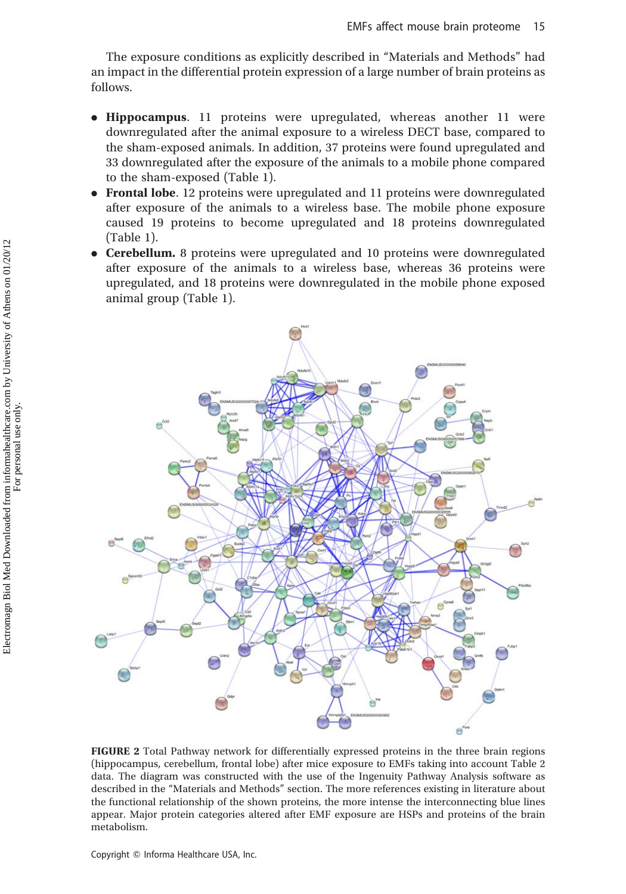The exposure conditions as explicitly described in "Materials and Methods" had an impact in the differential protein expression of a large number of brain proteins as follows.

- . Hippocampus. 11 proteins were upregulated, whereas another 11 were downregulated after the animal exposure to a wireless DECT base, compared to the sham-exposed animals. In addition, 37 proteins were found upregulated and 33 downregulated after the exposure of the animals to a mobile phone compared to the sham-exposed (Table 1).
- . Frontal lobe. 12 proteins were upregulated and 11 proteins were downregulated after exposure of the animals to a wireless base. The mobile phone exposure caused 19 proteins to become upregulated and 18 proteins downregulated (Table 1).
- . Cerebellum. 8 proteins were upregulated and 10 proteins were downregulated after exposure of the animals to a wireless base, whereas 36 proteins were upregulated, and 18 proteins were downregulated in the mobile phone exposed animal group (Table 1).



FIGURE 2 Total Pathway network for differentially expressed proteins in the three brain regions (hippocampus, cerebellum, frontal lobe) after mice exposure to EMFs taking into account Table 2 data. The diagram was constructed with the use of the Ingenuity Pathway Analysis software as described in the "Materials and Methods" section. The more references existing in literature about the functional relationship of the shown proteins, the more intense the interconnecting blue lines appear. Major protein categories altered after EMF exposure are HSPs and proteins of the brain metabolism.

Copyright © Informa Healthcare USA, Inc.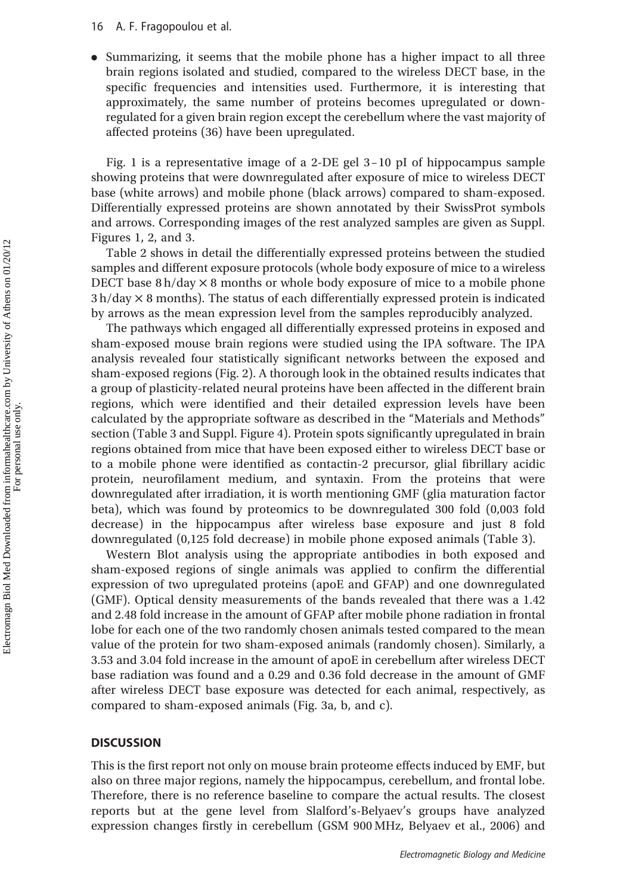. Summarizing, it seems that the mobile phone has a higher impact to all three brain regions isolated and studied, compared to the wireless DECT base, in the specific frequencies and intensities used. Furthermore, it is interesting that approximately, the same number of proteins becomes upregulated or downregulated for a given brain region except the cerebellum where the vast majority of affected proteins (36) have been upregulated.

Fig. 1 is a representative image of a 2-DE gel 3–10 pI of hippocampus sample showing proteins that were downregulated after exposure of mice to wireless DECT base (white arrows) and mobile phone (black arrows) compared to sham-exposed. Differentially expressed proteins are shown annotated by their SwissProt symbols and arrows. Corresponding images of the rest analyzed samples are given as Suppl. Figures 1, 2, and 3.

Table 2 shows in detail the differentially expressed proteins between the studied samples and different exposure protocols (whole body exposure of mice to a wireless DECT base  $8 h/day \times 8$  months or whole body exposure of mice to a mobile phone  $3 h/day \times 8$  months). The status of each differentially expressed protein is indicated by arrows as the mean expression level from the samples reproducibly analyzed.

The pathways which engaged all differentially expressed proteins in exposed and sham-exposed mouse brain regions were studied using the IPA software. The IPA analysis revealed four statistically significant networks between the exposed and sham-exposed regions (Fig. 2). A thorough look in the obtained results indicates that a group of plasticity-related neural proteins have been affected in the different brain regions, which were identified and their detailed expression levels have been calculated by the appropriate software as described in the "Materials and Methods" section (Table 3 and Suppl. Figure 4). Protein spots significantly upregulated in brain regions obtained from mice that have been exposed either to wireless DECT base or to a mobile phone were identified as contactin-2 precursor, glial fibrillary acidic protein, neurofilament medium, and syntaxin. From the proteins that were downregulated after irradiation, it is worth mentioning GMF (glia maturation factor beta), which was found by proteomics to be downregulated 300 fold (0,003 fold decrease) in the hippocampus after wireless base exposure and just 8 fold downregulated (0,125 fold decrease) in mobile phone exposed animals (Table 3).

Western Blot analysis using the appropriate antibodies in both exposed and sham-exposed regions of single animals was applied to confirm the differential expression of two upregulated proteins (apoE and GFAP) and one downregulated (GMF). Optical density measurements of the bands revealed that there was a 1.42 and 2.48 fold increase in the amount of GFAP after mobile phone radiation in frontal lobe for each one of the two randomly chosen animals tested compared to the mean value of the protein for two sham-exposed animals (randomly chosen). Similarly, a 3.53 and 3.04 fold increase in the amount of apoE in cerebellum after wireless DECT base radiation was found and a 0.29 and 0.36 fold decrease in the amount of GMF after wireless DECT base exposure was detected for each animal, respectively, as compared to sham-exposed animals (Fig. 3a, b, and c).

# **DISCUSSION**

This is the first report not only on mouse brain proteome effects induced by EMF, but also on three major regions, namely the hippocampus, cerebellum, and frontal lobe. Therefore, there is no reference baseline to compare the actual results. The closest reports but at the gene level from Slalford's-Belyaev's groups have analyzed expression changes firstly in cerebellum (GSM 900 MHz, Belyaev et al., 2006) and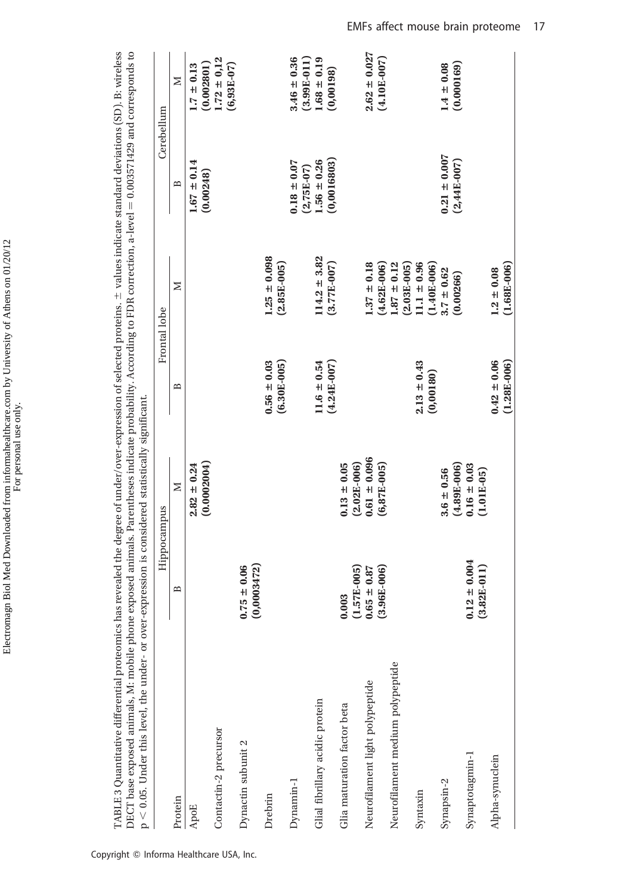| ı<br>ı<br>֚֚֕<br>$\ddot{\cdot}$ | a an si<br>$\ddot{\phantom{a}}$<br>I |
|---------------------------------|--------------------------------------|
| $\frac{1}{2}$<br>ŕ              |                                      |

TABLE 3 Quantitative differential proteomics has revealed the degree of under/over-expression of selected proteins.  $\pm$  values indicate standard deviations (SD). B: wireless DECT base exposed animals, M: mobile phone exposed animals. Parentheses indicate probability. According to FDR correction, a-level = 0.003571429 and corresponds to  $\pm$  values indicate standard deviations (SD). B: wireless 0.003571429 and corresponds to DECT base exposed animals, M: mobile phone exposed animals. Parentheses indicate probability. According to FDR correction, a-level TABLE 3 Quantitative differential proteomics has revealed the degree of under/over-expression of selected proteins.  $p < 0.05$ . Under this level, the under- or over-expression is considered statistically significant. adamad atatiadlu sianifias  $\frac{1}{2}$  $p > 0$  of Hnder this level the under

| $p \sim 0.05$ . Onder this level, the direct-expression is considered statistically significant. |                                                                               | Hippocampus                       |                 | Frontal lobe                     |                                 | Cerebellum                          |
|--------------------------------------------------------------------------------------------------|-------------------------------------------------------------------------------|-----------------------------------|-----------------|----------------------------------|---------------------------------|-------------------------------------|
| Protein                                                                                          | ≏<br>$\mathsf{l}$                                                             | $\geq$                            | ≏               | Σ                                | $\mathbf{r}$                    | ≿                                   |
| ApoE                                                                                             |                                                                               | (0.0002004)<br>$2.82 \pm 0.24$    |                 |                                  | $1.67 \pm 0.14$<br>(0.00248)    | $1.7 \pm 0.13$<br>(0.002801)        |
| Contactin-2 precursor                                                                            |                                                                               |                                   |                 |                                  |                                 | $1.72 \pm 0.12$<br>$(6,93E-07)$     |
| Dynactin subunit 2                                                                               | (0,0003472)<br>$0.75 \pm 0.06$                                                |                                   |                 |                                  |                                 |                                     |
| Drebrin                                                                                          |                                                                               |                                   | $0.56 \pm 0.03$ | $1.25 \pm 0.098$                 |                                 |                                     |
|                                                                                                  |                                                                               |                                   | $(6.30E-005)$   | $(2.85E-005)$                    |                                 |                                     |
| Dynamin-1                                                                                        |                                                                               |                                   |                 |                                  | $0.18 \pm 0.07$<br>$(2,75E-07)$ | $3.46 \pm 0.36$<br>$(3.99E-011)$    |
| Glial fibrillary acidic protein                                                                  |                                                                               |                                   | $11.6 \pm 0.54$ | $114.2 \pm 3.82$                 | $1.56 \pm 0.26$                 | $1.68 \pm 0.19$                     |
|                                                                                                  |                                                                               |                                   | $(4.24E-007)$   | $(3.77E-007)$                    | (0,0016803)                     | (0,00198)                           |
| Glia maturation factor beta                                                                      | 0.003                                                                         | $0.13 \pm 0.05$                   |                 |                                  |                                 |                                     |
|                                                                                                  | $\begin{array}{c} (1.57\text{E}\cdot 005) \\ 0.65 \, \pm \, 0.87 \end{array}$ | $(2.02E-006)$                     |                 |                                  |                                 |                                     |
| Neurofilament light polypeptide                                                                  | $(3.96E-006)$                                                                 | $0.61 \pm 0.096$<br>$(6,87E-005)$ |                 | $1.37 \pm 0.18$<br>$(4.62E-006)$ |                                 | $2.62 \pm 0.027$<br>$(4.10E - 007)$ |
| Neurofilament medium polypeptide                                                                 |                                                                               |                                   |                 | $.87 \pm 0.12$                   |                                 |                                     |
|                                                                                                  |                                                                               |                                   |                 | $(2.03E-005)$                    |                                 |                                     |
| Syntaxin                                                                                         |                                                                               |                                   | $2.13 \pm 0.43$ | $11.1 \pm 0.96$                  |                                 |                                     |
|                                                                                                  |                                                                               |                                   | (0,00180)       | $(1.40E-006)$                    |                                 |                                     |
| Synapsin-2                                                                                       |                                                                               | $3.6 \pm 0.56$                    |                 | $3.7 \pm 0.62$                   | $0.21 \pm 0.007$                | $1.4 \pm 0.08$                      |
|                                                                                                  |                                                                               | $(4.89E-006)$                     |                 | (0.00266)                        | $(2,44E-007)$                   | (0.000169)                          |
| Synaptotagmin-1                                                                                  | $0.12 \pm 0.004$<br>$(3.82E-011)$                                             | $0.16 \pm 0.03$<br>$(1.01E-05)$   |                 |                                  |                                 |                                     |
| Alpha-synuclein                                                                                  |                                                                               |                                   | $0.42 \pm 0.06$ | $1.2 \pm 0.08$                   |                                 |                                     |
|                                                                                                  |                                                                               |                                   | $(1.28E-006)$   | $(1.68E-006)$                    |                                 |                                     |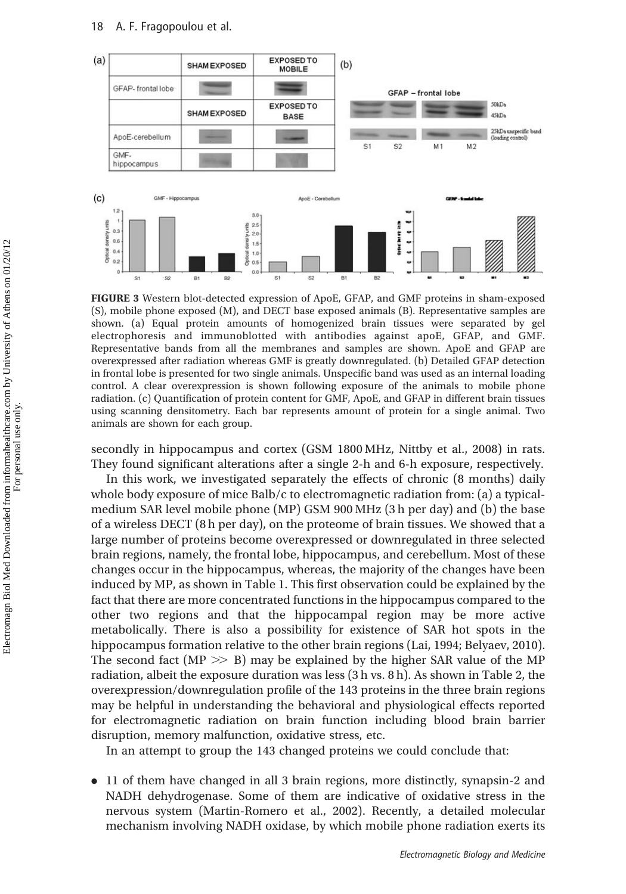

FIGURE 3 Western blot-detected expression of ApoE, GFAP, and GMF proteins in sham-exposed (S), mobile phone exposed (M), and DECT base exposed animals (B). Representative samples are shown. (a) Equal protein amounts of homogenized brain tissues were separated by gel electrophoresis and immunoblotted with antibodies against apoE, GFAP, and GMF. Representative bands from all the membranes and samples are shown. ApoE and GFAP are overexpressed after radiation whereas GMF is greatly downregulated. (b) Detailed GFAP detection in frontal lobe is presented for two single animals. Unspecific band was used as an internal loading control. A clear overexpression is shown following exposure of the animals to mobile phone radiation. (c) Quantification of protein content for GMF, ApoE, and GFAP in different brain tissues using scanning densitometry. Each bar represents amount of protein for a single animal. Two animals are shown for each group.

secondly in hippocampus and cortex (GSM 1800 MHz, Nittby et al., 2008) in rats. They found significant alterations after a single 2-h and 6-h exposure, respectively.

In this work, we investigated separately the effects of chronic (8 months) daily whole body exposure of mice Balb/c to electromagnetic radiation from: (a) a typicalmedium SAR level mobile phone (MP) GSM 900 MHz (3 h per day) and (b) the base of a wireless DECT (8 h per day), on the proteome of brain tissues. We showed that a large number of proteins become overexpressed or downregulated in three selected brain regions, namely, the frontal lobe, hippocampus, and cerebellum. Most of these changes occur in the hippocampus, whereas, the majority of the changes have been induced by MP, as shown in Table 1. This first observation could be explained by the fact that there are more concentrated functions in the hippocampus compared to the other two regions and that the hippocampal region may be more active metabolically. There is also a possibility for existence of SAR hot spots in the hippocampus formation relative to the other brain regions (Lai, 1994; Belyaev, 2010). The second fact ( $MP \gg B$ ) may be explained by the higher SAR value of the MP radiation, albeit the exposure duration was less (3 h vs. 8 h). As shown in Table 2, the overexpression/downregulation profile of the 143 proteins in the three brain regions may be helpful in understanding the behavioral and physiological effects reported for electromagnetic radiation on brain function including blood brain barrier disruption, memory malfunction, oxidative stress, etc.

In an attempt to group the 143 changed proteins we could conclude that:

. 11 of them have changed in all 3 brain regions, more distinctly, synapsin-2 and NADH dehydrogenase. Some of them are indicative of oxidative stress in the nervous system (Martin-Romero et al., 2002). Recently, a detailed molecular mechanism involving NADH oxidase, by which mobile phone radiation exerts its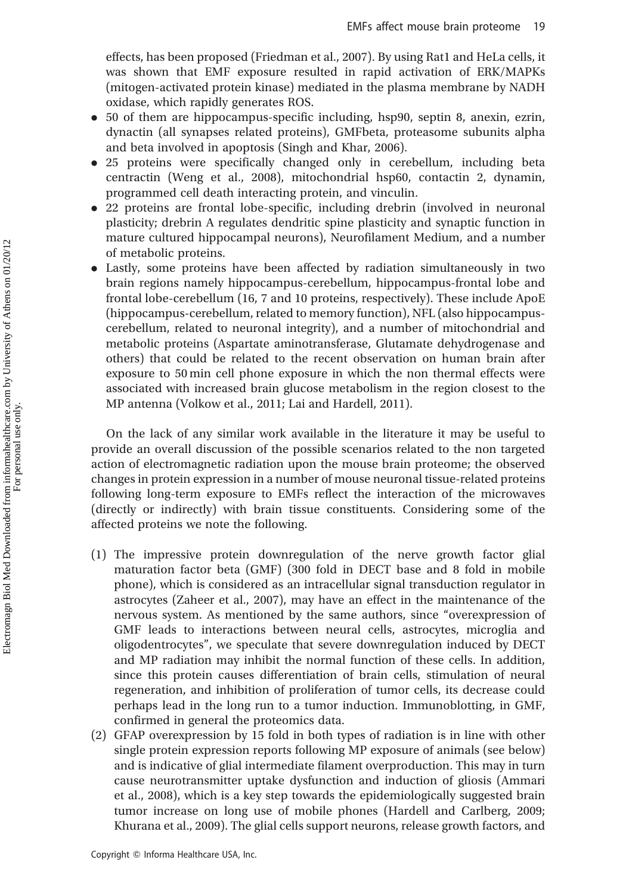effects, has been proposed (Friedman et al., 2007). By using Rat1 and HeLa cells, it was shown that EMF exposure resulted in rapid activation of ERK/MAPKs (mitogen-activated protein kinase) mediated in the plasma membrane by NADH oxidase, which rapidly generates ROS.

- . 50 of them are hippocampus-specific including, hsp90, septin 8, anexin, ezrin, dynactin (all synapses related proteins), GMFbeta, proteasome subunits alpha and beta involved in apoptosis (Singh and Khar, 2006).
- . 25 proteins were specifically changed only in cerebellum, including beta centractin (Weng et al., 2008), mitochondrial hsp60, contactin 2, dynamin, programmed cell death interacting protein, and vinculin.
- . 22 proteins are frontal lobe-specific, including drebrin (involved in neuronal plasticity; drebrin A regulates dendritic spine plasticity and synaptic function in mature cultured hippocampal neurons), Neurofilament Medium, and a number of metabolic proteins.
- . Lastly, some proteins have been affected by radiation simultaneously in two brain regions namely hippocampus-cerebellum, hippocampus-frontal lobe and frontal lobe-cerebellum (16, 7 and 10 proteins, respectively). These include ApoE (hippocampus-cerebellum, related to memory function), NFL (also hippocampuscerebellum, related to neuronal integrity), and a number of mitochondrial and metabolic proteins (Aspartate aminotransferase, Glutamate dehydrogenase and others) that could be related to the recent observation on human brain after exposure to 50 min cell phone exposure in which the non thermal effects were associated with increased brain glucose metabolism in the region closest to the MP antenna (Volkow et al., 2011; Lai and Hardell, 2011).

On the lack of any similar work available in the literature it may be useful to provide an overall discussion of the possible scenarios related to the non targeted action of electromagnetic radiation upon the mouse brain proteome; the observed changes in protein expression in a number of mouse neuronal tissue-related proteins following long-term exposure to EMFs reflect the interaction of the microwaves (directly or indirectly) with brain tissue constituents. Considering some of the affected proteins we note the following.

- (1) The impressive protein downregulation of the nerve growth factor glial maturation factor beta (GMF) (300 fold in DECT base and 8 fold in mobile phone), which is considered as an intracellular signal transduction regulator in astrocytes (Zaheer et al., 2007), may have an effect in the maintenance of the nervous system. As mentioned by the same authors, since "overexpression of GMF leads to interactions between neural cells, astrocytes, microglia and oligodentrocytes", we speculate that severe downregulation induced by DECT and MP radiation may inhibit the normal function of these cells. In addition, since this protein causes differentiation of brain cells, stimulation of neural regeneration, and inhibition of proliferation of tumor cells, its decrease could perhaps lead in the long run to a tumor induction. Immunoblotting, in GMF, confirmed in general the proteomics data.
- (2) GFAP overexpression by 15 fold in both types of radiation is in line with other single protein expression reports following MP exposure of animals (see below) and is indicative of glial intermediate filament overproduction. This may in turn cause neurotransmitter uptake dysfunction and induction of gliosis (Ammari et al., 2008), which is a key step towards the epidemiologically suggested brain tumor increase on long use of mobile phones (Hardell and Carlberg, 2009; Khurana et al., 2009). The glial cells support neurons, release growth factors, and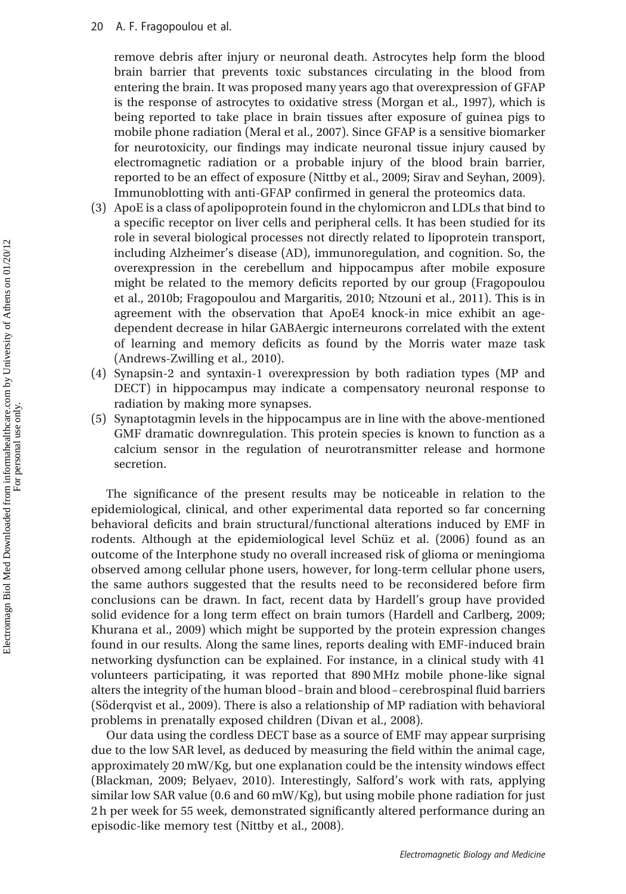remove debris after injury or neuronal death. Astrocytes help form the blood brain barrier that prevents toxic substances circulating in the blood from entering the brain. It was proposed many years ago that overexpression of GFAP is the response of astrocytes to oxidative stress (Morgan et al., 1997), which is being reported to take place in brain tissues after exposure of guinea pigs to mobile phone radiation (Meral et al., 2007). Since GFAP is a sensitive biomarker for neurotoxicity, our findings may indicate neuronal tissue injury caused by electromagnetic radiation or a probable injury of the blood brain barrier, reported to be an effect of exposure (Nittby et al., 2009; Sirav and Seyhan, 2009). Immunoblotting with anti-GFAP confirmed in general the proteomics data.

- (3) ApoE is a class of apolipoprotein found in the chylomicron and LDLs that bind to a specific receptor on liver cells and peripheral cells. It has been studied for its role in several biological processes not directly related to lipoprotein transport, including Alzheimer's disease (AD), immunoregulation, and cognition. So, the overexpression in the cerebellum and hippocampus after mobile exposure might be related to the memory deficits reported by our group (Fragopoulou et al., 2010b; Fragopoulou and Margaritis, 2010; Ntzouni et al., 2011). This is in agreement with the observation that ApoE4 knock-in mice exhibit an agedependent decrease in hilar GABAergic interneurons correlated with the extent of learning and memory deficits as found by the Morris water maze task (Andrews-Zwilling et al., 2010).
- (4) Synapsin-2 and syntaxin-1 overexpression by both radiation types (MP and DECT) in hippocampus may indicate a compensatory neuronal response to radiation by making more synapses.
- (5) Synaptotagmin levels in the hippocampus are in line with the above-mentioned GMF dramatic downregulation. This protein species is known to function as a calcium sensor in the regulation of neurotransmitter release and hormone secretion.

The significance of the present results may be noticeable in relation to the epidemiological, clinical, and other experimental data reported so far concerning behavioral deficits and brain structural/functional alterations induced by EMF in rodents. Although at the epidemiological level Schüz et al. (2006) found as an outcome of the Interphone study no overall increased risk of glioma or meningioma observed among cellular phone users, however, for long-term cellular phone users, the same authors suggested that the results need to be reconsidered before firm conclusions can be drawn. In fact, recent data by Hardell's group have provided solid evidence for a long term effect on brain tumors (Hardell and Carlberg, 2009; Khurana et al., 2009) which might be supported by the protein expression changes found in our results. Along the same lines, reports dealing with EMF-induced brain networking dysfunction can be explained. For instance, in a clinical study with 41 volunteers participating, it was reported that 890 MHz mobile phone-like signal alters the integrity of the human blood–brain and blood–cerebrospinal fluid barriers (Söderqvist et al., 2009). There is also a relationship of MP radiation with behavioral problems in prenatally exposed children (Divan et al., 2008).

Our data using the cordless DECT base as a source of EMF may appear surprising due to the low SAR level, as deduced by measuring the field within the animal cage, approximately 20 mW/Kg, but one explanation could be the intensity windows effect (Blackman, 2009; Belyaev, 2010). Interestingly, Salford's work with rats, applying similar low SAR value (0.6 and 60 mW/Kg), but using mobile phone radiation for just 2 h per week for 55 week, demonstrated significantly altered performance during an episodic-like memory test (Nittby et al., 2008).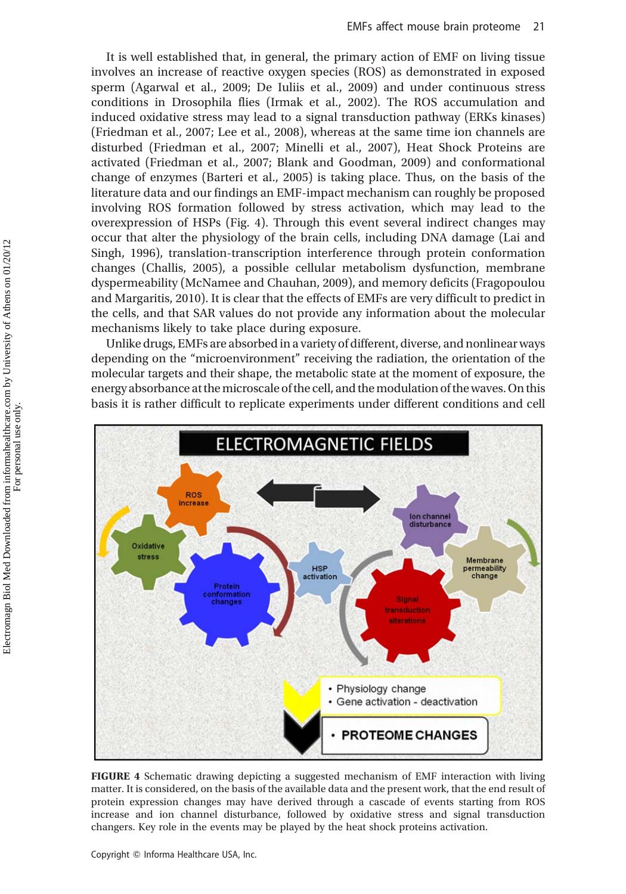It is well established that, in general, the primary action of EMF on living tissue involves an increase of reactive oxygen species (ROS) as demonstrated in exposed sperm (Agarwal et al., 2009; De Iuliis et al., 2009) and under continuous stress conditions in Drosophila flies (Irmak et al., 2002). The ROS accumulation and induced oxidative stress may lead to a signal transduction pathway (ERKs kinases) (Friedman et al., 2007; Lee et al., 2008), whereas at the same time ion channels are disturbed (Friedman et al., 2007; Minelli et al., 2007), Heat Shock Proteins are activated (Friedman et al., 2007; Blank and Goodman, 2009) and conformational change of enzymes (Barteri et al., 2005) is taking place. Thus, on the basis of the literature data and our findings an EMF-impact mechanism can roughly be proposed involving ROS formation followed by stress activation, which may lead to the overexpression of HSPs (Fig. 4). Through this event several indirect changes may occur that alter the physiology of the brain cells, including DNA damage (Lai and Singh, 1996), translation-transcription interference through protein conformation changes (Challis, 2005), a possible cellular metabolism dysfunction, membrane dyspermeability (McNamee and Chauhan, 2009), and memory deficits (Fragopoulou and Margaritis, 2010). It is clear that the effects of EMFs are very difficult to predict in the cells, and that SAR values do not provide any information about the molecular mechanisms likely to take place during exposure.

Unlike drugs, EMFs are absorbed in a variety of different, diverse, and nonlinear ways depending on the "microenvironment" receiving the radiation, the orientation of the molecular targets and their shape, the metabolic state at the moment of exposure, the energy absorbance at the microscale of the cell, and the modulation of the waves. On this basis it is rather difficult to replicate experiments under different conditions and cell



FIGURE 4 Schematic drawing depicting a suggested mechanism of EMF interaction with living matter. It is considered, on the basis of the available data and the present work, that the end result of protein expression changes may have derived through a cascade of events starting from ROS increase and ion channel disturbance, followed by oxidative stress and signal transduction changers. Key role in the events may be played by the heat shock proteins activation.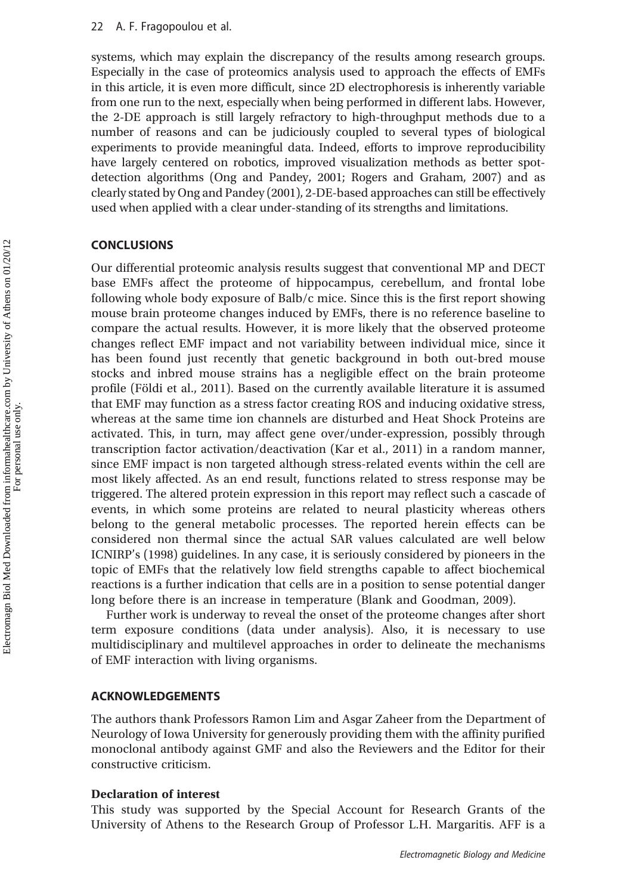systems, which may explain the discrepancy of the results among research groups. Especially in the case of proteomics analysis used to approach the effects of EMFs in this article, it is even more difficult, since 2D electrophoresis is inherently variable from one run to the next, especially when being performed in different labs. However, the 2-DE approach is still largely refractory to high-throughput methods due to a number of reasons and can be judiciously coupled to several types of biological experiments to provide meaningful data. Indeed, efforts to improve reproducibility have largely centered on robotics, improved visualization methods as better spotdetection algorithms (Ong and Pandey, 2001; Rogers and Graham, 2007) and as clearly stated by Ong and Pandey (2001), 2-DE-based approaches can still be effectively used when applied with a clear under-standing of its strengths and limitations.

# **CONCLUSIONS**

Our differential proteomic analysis results suggest that conventional MP and DECT base EMFs affect the proteome of hippocampus, cerebellum, and frontal lobe following whole body exposure of Balb/c mice. Since this is the first report showing mouse brain proteome changes induced by EMFs, there is no reference baseline to compare the actual results. However, it is more likely that the observed proteome changes reflect EMF impact and not variability between individual mice, since it has been found just recently that genetic background in both out-bred mouse stocks and inbred mouse strains has a negligible effect on the brain proteome profile (Földi et al., 2011). Based on the currently available literature it is assumed that EMF may function as a stress factor creating ROS and inducing oxidative stress, whereas at the same time ion channels are disturbed and Heat Shock Proteins are activated. This, in turn, may affect gene over/under-expression, possibly through transcription factor activation/deactivation (Kar et al., 2011) in a random manner, since EMF impact is non targeted although stress-related events within the cell are most likely affected. As an end result, functions related to stress response may be triggered. The altered protein expression in this report may reflect such a cascade of events, in which some proteins are related to neural plasticity whereas others belong to the general metabolic processes. The reported herein effects can be considered non thermal since the actual SAR values calculated are well below ICNIRP's (1998) guidelines. In any case, it is seriously considered by pioneers in the topic of EMFs that the relatively low field strengths capable to affect biochemical reactions is a further indication that cells are in a position to sense potential danger long before there is an increase in temperature (Blank and Goodman, 2009).

Further work is underway to reveal the onset of the proteome changes after short term exposure conditions (data under analysis). Also, it is necessary to use multidisciplinary and multilevel approaches in order to delineate the mechanisms of EMF interaction with living organisms.

#### ACKNOWLEDGEMENTS

The authors thank Professors Ramon Lim and Asgar Zaheer from the Department of Neurology of Iowa University for generously providing them with the affinity purified monoclonal antibody against GMF and also the Reviewers and the Editor for their constructive criticism.

#### Declaration of interest

This study was supported by the Special Account for Research Grants of the University of Athens to the Research Group of Professor L.H. Margaritis. AFF is a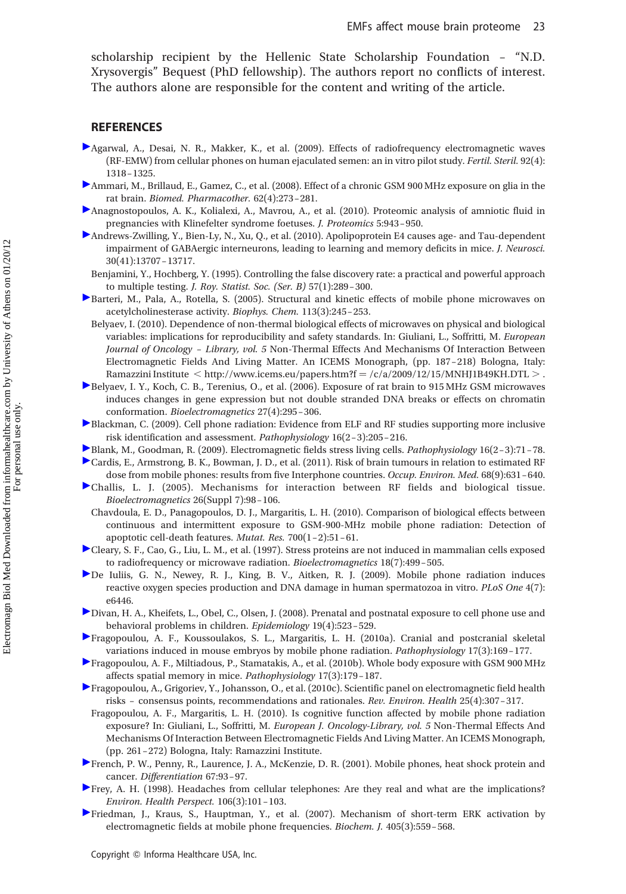scholarship recipient by the Hellenic State Scholarship Foundation – "N.D. Xrysovergis" Bequest (PhD fellowship). The authors report no conflicts of interest. The authors alone are responsible for the content and writing of the article.

#### REFERENCES

- Agarwal, A., Desai, N. R., Makker, K., et al. (2009). Effects of radiofrequency electromagnetic waves (RF-EMW) from cellular phones on human ejaculated semen: an in vitro pilot study. Fertil. Steril. 92(4): 1318–1325.
- Ammari, M., Brillaud, E., Gamez, C., et al. (2008). Effect of a chronic GSM 900 MHz exposure on glia in the rat brain. Biomed. Pharmacother. 62(4):273–281.
- Anagnostopoulos, A. K., Kolialexi, A., Mavrou, A., et al. (2010). Proteomic analysis of amniotic fluid in pregnancies with Klinefelter syndrome foetuses. J. Proteomics 5:943–950.
- Andrews-Zwilling, Y., Bien-Ly, N., Xu, Q., et al. (2010). Apolipoprotein E4 causes age- and Tau-dependent impairment of GABAergic interneurons, leading to learning and memory deficits in mice. J. Neurosci. 30(41):13707–13717.
	- Benjamini, Y., Hochberg, Y. (1995). Controlling the false discovery rate: a practical and powerful approach to multiple testing. J. Roy. Statist. Soc. (Ser. B) 57(1):289–300.
- Barteri, M., Pala, A., Rotella, S. (2005). Structural and kinetic effects of mobile phone microwaves on acetylcholinesterase activity. Biophys. Chem. 113(3):245–253.
	- Belyaev, I. (2010). Dependence of non-thermal biological effects of microwaves on physical and biological variables: implications for reproducibility and safety standards. In: Giuliani, L., Soffritti, M. European Journal of Oncology – Library, vol. 5 Non-Thermal Effects And Mechanisms Of Interaction Between Electromagnetic Fields And Living Matter. An ICEMS Monograph, (pp. 187–218) Bologna, Italy: Ramazzini Institute  $\langle$  http://www.icems.eu/papers.htm?f = /c/a/2009/12/15/MNHJ1B49KH.DTL > .
- Belyaev, I. Y., Koch, C. B., Terenius, O., et al. (2006). Exposure of rat brain to 915 MHz GSM microwaves induces changes in gene expression but not double stranded DNA breaks or effects on chromatin conformation. Bioelectromagnetics 27(4):295–306.
- Blackman, C. (2009). Cell phone radiation: Evidence from ELF and RF studies supporting more inclusive risk identification and assessment. Pathophysiology 16(2–3):205–216.
- Blank, M., Goodman, R. (2009). Electromagnetic fields stress living cells. Pathophysiology 16(2–3):71–78.
- Cardis, E., Armstrong, B. K., Bowman, J. D., et al. (2011). Risk of brain tumours in relation to estimated RF dose from mobile phones: results from five Interphone countries. Occup. Environ. Med. 68(9):631-640.
- Challis, L. J. (2005). Mechanisms for interaction between RF fields and biological tissue. Bioelectromagnetics 26(Suppl 7):98–106.
	- Chavdoula, E. D., Panagopoulos, D. J., Margaritis, L. H. (2010). Comparison of biological effects between continuous and intermittent exposure to GSM-900-MHz mobile phone radiation: Detection of apoptotic cell-death features. Mutat. Res. 700(1–2):51–61.
- Cleary, S. F., Cao, G., Liu, L. M., et al. (1997). Stress proteins are not induced in mammalian cells exposed to radiofrequency or microwave radiation. Bioelectromagnetics 18(7):499–505.
- De Iuliis, G. N., Newey, R. J., King, B. V., Aitken, R. J. (2009). Mobile phone radiation induces reactive oxygen species production and DNA damage in human spermatozoa in vitro. PLoS One 4(7): e6446.
- Divan, H. A., Kheifets, L., Obel, C., Olsen, J. (2008). Prenatal and postnatal exposure to cell phone use and behavioral problems in children. Epidemiology 19(4):523–529.
- Fragopoulou, A. F., Koussoulakos, S. L., Margaritis, L. H. (2010a). Cranial and postcranial skeletal variations induced in mouse embryos by mobile phone radiation. Pathophysiology 17(3):169–177.
- Fragopoulou, A. F., Miltiadous, P., Stamatakis, A., et al. (2010b). Whole body exposure with GSM 900 MHz affects spatial memory in mice. Pathophysiology 17(3):179–187.
- Fragopoulou, A., Grigoriev, Y., Johansson, O., et al. (2010c). Scientific panel on electromagnetic field health risks – consensus points, recommendations and rationales. Rev. Environ. Health 25(4):307–317.
	- Fragopoulou, A. F., Margaritis, L. H. (2010). Is cognitive function affected by mobile phone radiation exposure? In: Giuliani, L., Soffritti, M. European J. Oncology-Library, vol. 5 Non-Thermal Effects And Mechanisms Of Interaction Between Electromagnetic Fields And Living Matter. An ICEMS Monograph, (pp. 261–272) Bologna, Italy: Ramazzini Institute.
- French, P. W., Penny, R., Laurence, J. A., McKenzie, D. R. (2001). Mobile phones, heat shock protein and cancer. Differentiation 67:93–97.
- Frey, A. H. (1998). Headaches from cellular telephones: Are they real and what are the implications? Environ. Health Perspect. 106(3):101–103.
- Friedman, J., Kraus, S., Hauptman, Y., et al. (2007). Mechanism of short-term ERK activation by electromagnetic fields at mobile phone frequencies. Biochem. J. 405(3):559–568.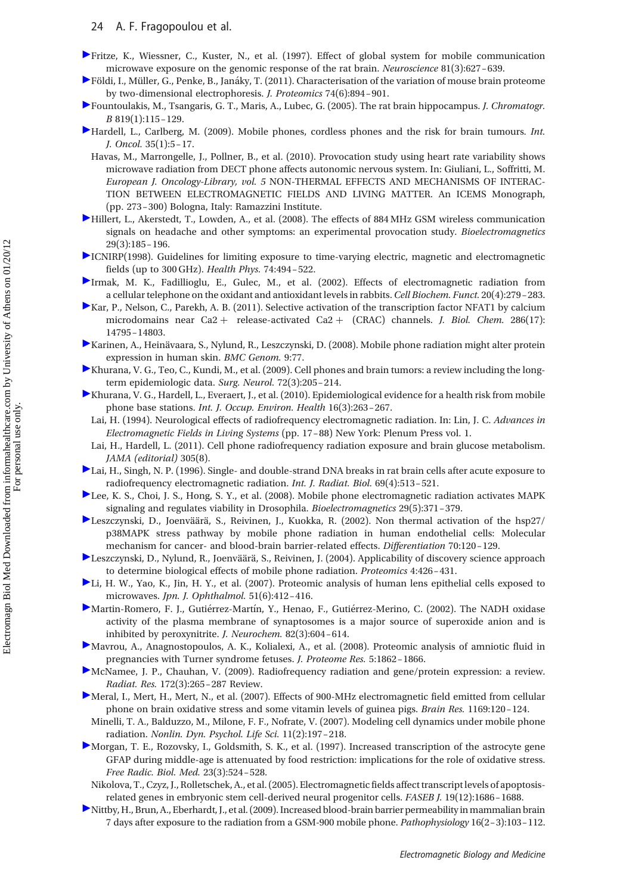- Fritze, K., Wiessner, C., Kuster, N., et al. (1997). Effect of global system for mobile communication microwave exposure on the genomic response of the rat brain. Neuroscience 81(3):627–639.
- $\blacktriangleright$  Földi, I., Müller, G., Penke, B., Janáky, T. (2011). Characterisation of the variation of mouse brain proteome by two-dimensional electrophoresis. J. Proteomics 74(6):894 –901.
- Fountoulakis, M., Tsangaris, G. T., Maris, A., Lubec, G. (2005). The rat brain hippocampus. J. Chromatogr. B 819(1):115–129.
- Hardell, L., Carlberg, M. (2009). Mobile phones, cordless phones and the risk for brain tumours. Int. J. Oncol. 35(1):5–17.
	- Havas, M., Marrongelle, J., Pollner, B., et al. (2010). Provocation study using heart rate variability shows microwave radiation from DECT phone affects autonomic nervous system. In: Giuliani, L., Soffritti, M. European J. Oncology-Library, vol. 5 NON-THERMAL EFFECTS AND MECHANISMS OF INTERAC-TION BETWEEN ELECTROMAGNETIC FIELDS AND LIVING MATTER. An ICEMS Monograph, (pp. 273–300) Bologna, Italy: Ramazzini Institute.
- Hillert, L., Akerstedt, T., Lowden, A., et al. (2008). The effects of 884 MHz GSM wireless communication signals on headache and other symptoms: an experimental provocation study. Bioelectromagnetics 29(3):185–196.
- ICNIRP(1998). Guidelines for limiting exposure to time-varying electric, magnetic and electromagnetic fields (up to 300 GHz). Health Phys. 74:494–522.
- Irmak, M. K., Fadillioglu, E., Gulec, M., et al. (2002). Effects of electromagnetic radiation from a cellular telephone on the oxidant and antioxidant levels in rabbits.Cell Biochem. Funct. 20(4):279–283.
- Kar, P., Nelson, C., Parekh, A. B. (2011). Selective activation of the transcription factor NFAT1 by calcium microdomains near Ca2 + release-activated Ca2 + (CRAC) channels. *J. Biol. Chem.* 286(17): 14795–14803.
- Karinen, A., Heinävaara, S., Nylund, R., Leszczynski, D. (2008). Mobile phone radiation might alter protein expression in human skin. BMC Genom. 9:77.
- Khurana, V. G., Teo, C., Kundi, M., et al. (2009). Cell phones and brain tumors: a review including the longterm epidemiologic data. Surg. Neurol. 72(3):205–214.
- Khurana, V. G., Hardell, L., Everaert, J., et al. (2010). Epidemiological evidence for a health risk from mobile phone base stations. Int. J. Occup. Environ. Health 16(3):263–267.
	- Lai, H. (1994). Neurological effects of radiofrequency electromagnetic radiation. In: Lin, J. C. Advances in Electromagnetic Fields in Living Systems (pp. 17–88) New York: Plenum Press vol. 1.
	- Lai, H., Hardell, L. (2011). Cell phone radiofrequency radiation exposure and brain glucose metabolism. JAMA (editorial) 305(8).
- Lai, H., Singh, N. P. (1996). Single- and double-strand DNA breaks in rat brain cells after acute exposure to radiofrequency electromagnetic radiation. Int. J. Radiat. Biol. 69(4):513–521.
- Lee, K. S., Choi, J. S., Hong, S. Y., et al. (2008). Mobile phone electromagnetic radiation activates MAPK signaling and regulates viability in Drosophila. Bioelectromagnetics 29(5):371–379.
- Leszczynski, D., Joenväärä, S., Reivinen, J., Kuokka, R. (2002). Non thermal activation of the hsp27/ p38MAPK stress pathway by mobile phone radiation in human endothelial cells: Molecular mechanism for cancer- and blood-brain barrier-related effects. Differentiation 70:120–129.
- ► Leszczynski, D., Nylund, R., Joenväärä, S., Reivinen, J. (2004). Applicability of discovery science approach to determine biological effects of mobile phone radiation. Proteomics 4:426–431.
- Li, H. W., Yao, K., Jin, H. Y., et al. (2007). Proteomic analysis of human lens epithelial cells exposed to microwaves. Jpn. J. Ophthalmol. 51(6):412–416.
- Martin-Romero, F. J., Gutiérrez-Martín, Y., Henao, F., Gutiérrez-Merino, C. (2002). The NADH oxidase activity of the plasma membrane of synaptosomes is a major source of superoxide anion and is inhibited by peroxynitrite. J. Neurochem. 82(3):604–614.
- Mavrou, A., Anagnostopoulos, A. K., Kolialexi, A., et al. (2008). Proteomic analysis of amniotic fluid in pregnancies with Turner syndrome fetuses. J. Proteome Res. 5:1862–1866.
- McNamee, J. P., Chauhan, V. (2009). Radiofrequency radiation and gene/protein expression: a review. Radiat. Res. 172(3):265–287 Review.
- Meral, I., Mert, H., Mert, N., et al. (2007). Effects of 900-MHz electromagnetic field emitted from cellular phone on brain oxidative stress and some vitamin levels of guinea pigs. Brain Res. 1169:120–124.
	- Minelli, T. A., Balduzzo, M., Milone, F. F., Nofrate, V. (2007). Modeling cell dynamics under mobile phone radiation. Nonlin. Dyn. Psychol. Life Sci. 11(2):197–218.
- Morgan, T. E., Rozovsky, I., Goldsmith, S. K., et al. (1997). Increased transcription of the astrocyte gene GFAP during middle-age is attenuated by food restriction: implications for the role of oxidative stress. Free Radic. Biol. Med. 23(3):524–528.
- Nikolova, T., Czyz, J., Rolletschek, A., et al. (2005). Electromagnetic fields affect transcript levels of apoptosisrelated genes in embryonic stem cell-derived neural progenitor cells. FASEB J. 19(12):1686–1688.
- Nittby, H., Brun, A., Eberhardt, J., et al. (2009). Increased blood-brain barrier permeability in mammalian brain 7 days after exposure to the radiation from a GSM-900 mobile phone. Pathophysiology 16(2–3):103–112.